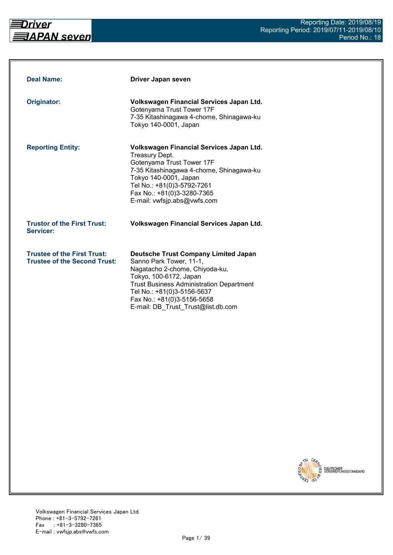

| <b>Deal Name:</b>                                                         | Driver Japan seven                                                                                                                                                                                                                                                                      |
|---------------------------------------------------------------------------|-----------------------------------------------------------------------------------------------------------------------------------------------------------------------------------------------------------------------------------------------------------------------------------------|
| Originator:                                                               | Volkswagen Financial Services Japan Ltd.<br>Gotenyama Trust Tower 17F<br>7-35 Kitashinagawa 4-chome, Shinagawa-ku<br>Tokyo 140-0001, Japan                                                                                                                                              |
| <b>Reporting Entity:</b>                                                  | Volkswagen Financial Services Japan Ltd.<br>Treasury Dept.<br>Gotenyama Trust Tower 17F<br>7-35 Kitashinagawa 4-chome, Shinagawa-ku<br>Tokyo 140-0001, Japan<br>Tel No.: +81(0)3-5792-7261<br>Fax No.: +81(0)3-3280-7365<br>E-mail: vwfsjp.abs@vwfs.com                                 |
| <b>Trustor of the First Trust:</b><br>Servicer:                           | Volkswagen Financial Services Japan Ltd.                                                                                                                                                                                                                                                |
| <b>Trustee of the First Trust:</b><br><b>Trustee of the Second Trust:</b> | <b>Deutsche Trust Company Limited Japan</b><br>Sanno Park Tower, 11-1,<br>Nagatacho 2-chome, Chiyoda-ku,<br>Tokyo, 100-6172, Japan<br><b>Trust Business Administration Department</b><br>Tel No.: +81(0)3-5156-5637<br>Fax No.: +81(0)3-5156-5658<br>E-mail: DB Trust Trust@list.db.com |

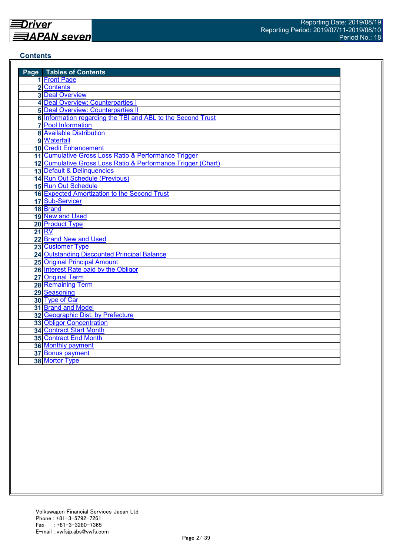#### **Contents**

| <b>Page</b> Tables of Contents                               |
|--------------------------------------------------------------|
| 1 Front Page                                                 |
| 2 Contents                                                   |
| <b>3</b> Deal Overview                                       |
| 4 Deal Overview: Counterparties I                            |
| <b>5 Deal Overview: Counterparties II</b>                    |
| 6 Information regarding the TBI and ABL to the Second Trust  |
| <b>7</b> Pool Information                                    |
| <b>8 Available Distribution</b>                              |
| 9 Waterfall                                                  |
| <b>10 Credit Enhancement</b>                                 |
| 11 Cumulative Gross Loss Ratio & Performance Trigger         |
| 12 Cumulative Gross Loss Ratio & Performance Trigger (Chart) |
| 13 Default & Delinquencies                                   |
| 14 Run Out Schedule (Previous)                               |
| 15 Run Out Schedule                                          |
| 16 Expected Amortization to the Second Trust                 |
| 17 Sub-Servicer                                              |
| 18 Brand                                                     |
| 19 New and Used                                              |
| 20 Product Type                                              |
| 21 RV                                                        |
| 22 Brand New and Used                                        |
| 23 Customer Type                                             |
| 24 Outstanding Discounted Principal Balance                  |
| <b>25 Original Principal Amount</b>                          |
| 26 Interest Rate paid by the Obligor                         |
| 27 Original Term                                             |
| 28 Remaining Term                                            |
| 29 Seasoning                                                 |
| 30 Type of Car                                               |
| 31 Brand and Model                                           |
| 32 Geographic Dist. by Prefecture                            |
| 33 Obligor Concentration                                     |
| <b>34 Contract Start Month</b>                               |
| <b>35 Contract End Month</b>                                 |
| 36 Monthly payment                                           |
| 37 Bonus payment                                             |
| 38 Mortor Type                                               |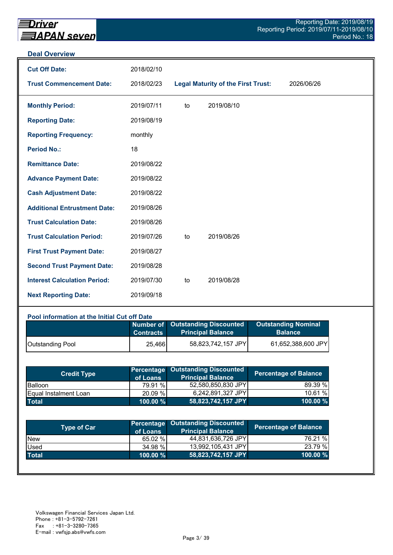#### **Deal Overview**

| <b>Cut Off Date:</b>                | 2018/02/10 |    |                                           |            |
|-------------------------------------|------------|----|-------------------------------------------|------------|
| <b>Trust Commencement Date:</b>     | 2018/02/23 |    | <b>Legal Maturity of the First Trust:</b> | 2026/06/26 |
| <b>Monthly Period:</b>              | 2019/07/11 | to | 2019/08/10                                |            |
| <b>Reporting Date:</b>              | 2019/08/19 |    |                                           |            |
| <b>Reporting Frequency:</b>         | monthly    |    |                                           |            |
| <b>Period No.:</b>                  | 18         |    |                                           |            |
| <b>Remittance Date:</b>             | 2019/08/22 |    |                                           |            |
| <b>Advance Payment Date:</b>        | 2019/08/22 |    |                                           |            |
| <b>Cash Adjustment Date:</b>        | 2019/08/22 |    |                                           |            |
| <b>Additional Entrustment Date:</b> | 2019/08/26 |    |                                           |            |
| <b>Trust Calculation Date:</b>      | 2019/08/26 |    |                                           |            |
| <b>Trust Calculation Period:</b>    | 2019/07/26 | to | 2019/08/26                                |            |
| <b>First Trust Payment Date:</b>    | 2019/08/27 |    |                                           |            |
| <b>Second Trust Payment Date:</b>   | 2019/08/28 |    |                                           |            |
| <b>Interest Calculation Period:</b> | 2019/07/30 | to | 2019/08/28                                |            |
| <b>Next Reporting Date:</b>         | 2019/09/18 |    |                                           |            |

## **Pool information at the Initial Cut off Date**

|                         | <b>Contracts</b> | Number of Outstanding Discounted<br><b>Principal Balance</b> | <b>Outstanding Nominal</b><br><b>Balance</b> |
|-------------------------|------------------|--------------------------------------------------------------|----------------------------------------------|
| <b>Outstanding Pool</b> | 25,466           | 58,823,742,157 JPY                                           | 61,652,388,600 JPY                           |

| <b>Credit Type</b>            | of Loans    | <b>Percentage Outstanding Discounted</b><br><b>Principal Balance</b> | <b>Percentage of Balance</b> |
|-------------------------------|-------------|----------------------------------------------------------------------|------------------------------|
| <b>Balloon</b>                | 79.91 %     | 52,580,850,830 JPY                                                   | 89.39 %                      |
| <b>IEqual Instalment Loan</b> | 20.09 %     | 6,242,891,327 JPY                                                    | 10.61%                       |
| <b>Total</b>                  | $100.00 \%$ | 58,823,742,157 JPY                                                   | $100.00 \%$                  |

| <b>Type of Car</b> | of Loans    | Percentage Outstanding Discounted<br><b>Principal Balance</b> | <b>Percentage of Balance</b> |
|--------------------|-------------|---------------------------------------------------------------|------------------------------|
| <b>New</b>         | 65.02 %     | 44,831,636,726 JPY                                            | 76.21 %                      |
| Used               | 34.98 %     | 13,992,105,431 JPY                                            | 23.79 %                      |
| <b>Total</b>       | $100.00 \%$ | 58,823,742,157 JPY                                            | 100.00 %                     |
|                    |             |                                                               |                              |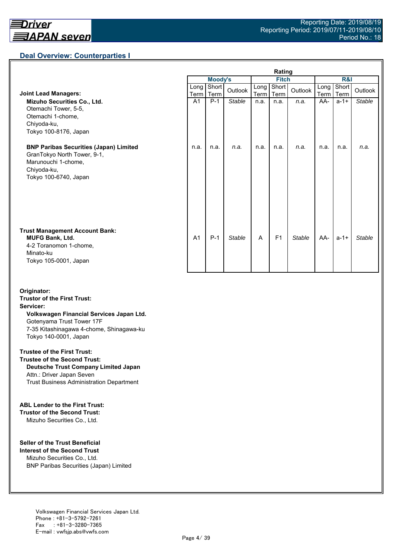## **Deal Overview: Counterparties I**

|                                                                                                                                             | Rating         |                |               |              |                |               |                     |               |               |
|---------------------------------------------------------------------------------------------------------------------------------------------|----------------|----------------|---------------|--------------|----------------|---------------|---------------------|---------------|---------------|
|                                                                                                                                             |                | <b>Moody's</b> |               | <b>Fitch</b> |                |               | <b>R&amp;I</b>      |               |               |
| <b>Joint Lead Managers:</b>                                                                                                                 | Long  <br>Term | Short<br>Term  | Outlook       | Long<br>Term | Short<br>Term  | Outlook       | Long<br><b>Term</b> | Short<br>Term | Outlook       |
| Mizuho Securities Co., Ltd.<br>Otemachi Tower, 5-5,<br>Otemachi 1-chome,<br>Chiyoda-ku,<br>Tokyo 100-8176, Japan                            | A <sub>1</sub> | $P-1$          | <b>Stable</b> | n.a.         | n.a.           | n.a.          | AA-                 | $a - 1 +$     | <b>Stable</b> |
| <b>BNP Paribas Securities (Japan) Limited</b><br>GranTokyo North Tower, 9-1,<br>Marunouchi 1-chome,<br>Chiyoda-ku,<br>Tokyo 100-6740, Japan | n.a.           | n.a.           | n.a.          | n.a.         | n.a.           | n.a.          | n.a.                | n.a.          | n.a.          |
| <b>Trust Management Account Bank:</b><br><b>MUFG Bank, Ltd.</b><br>4-2 Toranomon 1-chome,<br>Minato-ku<br>Tokyo 105-0001, Japan             | A <sub>1</sub> | $P-1$          | <b>Stable</b> | A            | F <sub>1</sub> | <b>Stable</b> | AA-                 | $a - 1 +$     | Stable        |

#### **Originator: Trustor of the First Trust: Servicer: Volkswagen Financial Services Japan Ltd.** Gotenyama Trust Tower 17F 7-35 Kitashinagawa 4-chome, Shinagawa-ku Tokyo 140-0001, Japan

#### **Trustee of the First Trust:**

**Trustee of the Second Trust: Deutsche Trust Company Limited Japan** Attn.: Driver Japan Seven Trust Business Administration Department

#### **ABL Lender to the First Trust:**

**Trustor of the Second Trust:** Mizuho Securities Co., Ltd.

#### **Seller of the Trust Beneficial**

**Interest of the Second Trust** Mizuho Securities Co., Ltd. BNP Paribas Securities (Japan) Limited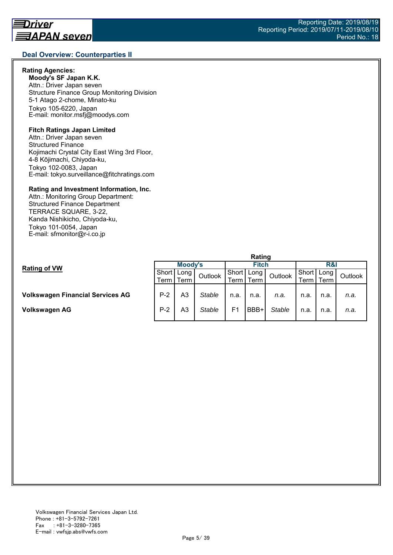#### **Rating Agencies:**

**Moody's SF Japan K.K.** Attn.: Driver Japan seven Structure Finance Group Monitoring Division 5-1 Atago 2-chome, Minato-ku Tokyo 105-6220, Japan E-mail: monitor.msfj@moodys.com

#### **Fitch Ratings Japan Limited**

Attn.: Driver Japan seven Structured Finance Kojimachi Crystal City East Wing 3rd Floor, 4-8 Kōjimachi, Chiyoda-ku, Tokyo 102-0083, Japan E-mail: tokyo.surveillance@fitchratings.com

#### **Rating and Investment Information, Inc.**

Attn.: Monitoring Group Department: Structured Finance Department TERRACE SQUARE, 3-22, Kanda Nishikicho, Chiyoda-ku, Tokyo 101-0054, Japan E-mail: sfmonitor@r-i.co.jp

|                                         | Rating  |      |               |                |      |               |         |        |         |
|-----------------------------------------|---------|------|---------------|----------------|------|---------------|---------|--------|---------|
| <b>Rating of VW</b>                     | Moody's |      |               | <b>Fitch</b>   |      |               | R&I     |        |         |
|                                         | Short   | Long | Outlook       | Short          | Long | Outlook       | Short I | Long   | Outlook |
|                                         | Term l  | Term |               | Term           | Term |               | Term    | Term I |         |
|                                         |         |      |               |                |      |               |         |        |         |
| <b>Volkswagen Financial Services AG</b> | $P-2$   | A3   | <b>Stable</b> | n.a.           | n.a. | n.a.          | n.a.    | n.a.   | n.a.    |
|                                         |         |      |               |                |      |               |         |        |         |
| Volkswagen AG                           | $P-2$   | A3   | <b>Stable</b> | F <sub>1</sub> | BBB+ | <b>Stable</b> | n.a.    | n.a.   | n.a.    |
|                                         |         |      |               |                |      |               |         |        |         |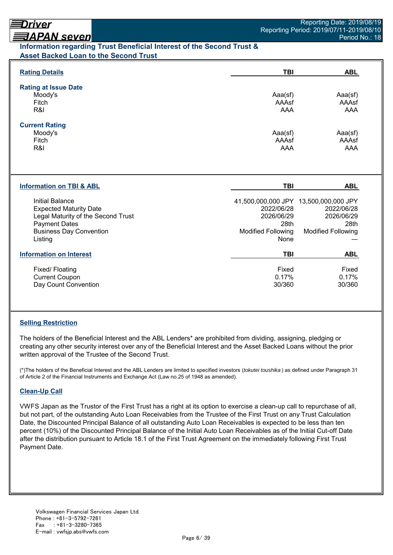# *EAPAN seven* **Information regarding Trust Beneficial Interest of the Second Trust &**

| <b>Asset Backed Loan to the Second Trust</b> |  |  |
|----------------------------------------------|--|--|
|                                              |  |  |

| <b>Rating Details</b>                                                                                                                                       | TBI                                                                   | <b>ABL</b>                                                                                             |
|-------------------------------------------------------------------------------------------------------------------------------------------------------------|-----------------------------------------------------------------------|--------------------------------------------------------------------------------------------------------|
| <b>Rating at Issue Date</b><br>Moody's<br>Fitch<br>R&I                                                                                                      | Aaa(sf)<br>AAAsf<br>AAA                                               | Aaa(sf)<br>AAAsf<br>AAA                                                                                |
| <b>Current Rating</b><br>Moody's<br>Fitch<br>R&I                                                                                                            | Aaa(sf)<br>AAAsf<br>AAA                                               | Aaa(sf)<br>AAAsf<br><b>AAA</b>                                                                         |
| <b>Information on TBI &amp; ABL</b>                                                                                                                         | <b>TBI</b>                                                            | <b>ABL</b>                                                                                             |
| Initial Balance<br><b>Expected Maturity Date</b><br>Legal Maturity of the Second Trust<br><b>Payment Dates</b><br><b>Business Day Convention</b><br>Listing | 2022/06/28<br>2026/06/29<br>28th<br><b>Modified Following</b><br>None | 41,500,000,000 JPY 13,500,000,000 JPY<br>2022/06/28<br>2026/06/29<br>28th<br><b>Modified Following</b> |
|                                                                                                                                                             |                                                                       |                                                                                                        |
| <b>Information on Interest</b>                                                                                                                              | <b>TBI</b>                                                            | <b>ABL</b>                                                                                             |

## **Selling Restriction**

The holders of the Beneficial Interest and the ABL Lenders\* are prohibited from dividing, assigning, pledging or creating any other security interest over any of the Beneficial Interest and the Asset Backed Loans without the prior written approval of the Trustee of the Second Trust.

(\*)The holders of the Beneficial Interest and the ABL Lenders are limited to specified investors (*tokutei toushika* ) as defined under Paragraph 31 of Article 2 of the Financial Instruments and Exchange Act (Law no.25 of 1948 as amended).

## **Clean-Up Call**

VWFS Japan as the Trustor of the First Trust has a right at its option to exercise a clean-up call to repurchase of all, but not part, of the outstanding Auto Loan Receivables from the Trustee of the First Trust on any Trust Calculation Date, the Discounted Principal Balance of all outstanding Auto Loan Receivables is expected to be less than ten percent (10%) of the Discounted Principal Balance of the Initial Auto Loan Receivables as of the Initial Cut-off Date after the distribution pursuant to Article 18.1 of the First Trust Agreement on the immediately following First Trust Payment Date.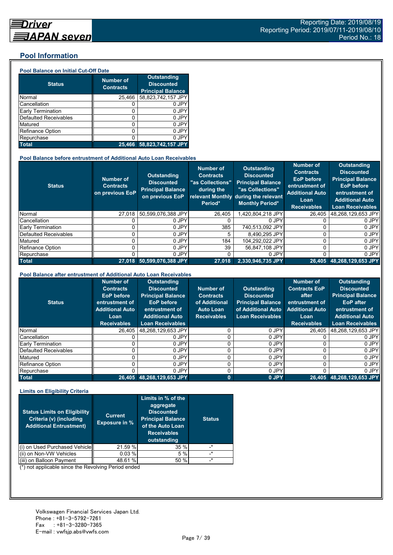#### **Pool Information**

#### **Pool Balance on Initial Cut-Off Date**

| <b>Status</b>                | <b>Number of</b><br><b>Contracts</b> | <b>Outstanding</b><br><b>Discounted</b><br><b>Principal Balance</b> |
|------------------------------|--------------------------------------|---------------------------------------------------------------------|
| Normal                       | 25,466                               | 58,823,742,157 JPY                                                  |
| Cancellation                 |                                      | 0 JPY                                                               |
| Early Termination            | 0                                    | 0 JPY                                                               |
| <b>Defaulted Receivables</b> | 0                                    | 0 JPY                                                               |
| Matured                      | ი                                    | 0 JPY                                                               |
| <b>Refinance Option</b>      | 0                                    | 0 JPY                                                               |
| Repurchase                   |                                      | 0 JPY                                                               |
| <b>Total</b>                 | 25.466                               | 58,823,742,157 JPY                                                  |

#### **Pool Balance before entrustment of Additional Auto Loan Receivables**

| <b>Status</b>            | <b>Number of</b><br><b>Contracts</b><br>on previous EoP | <b>Outstanding</b><br><b>Discounted</b><br><b>Principal Balance</b><br>on previous EoP | <b>Number of</b><br><b>Contracts</b><br>"as Collections"<br>during the<br>Period* | Outstanding<br><b>Discounted</b><br><b>Principal Balance</b><br>"as Collections"<br>relevant Monthly during the relevant<br><b>Monthly Period*</b> | <b>Number of</b><br><b>Contracts</b><br><b>EoP</b> before<br>entrustment of<br><b>Additional Auto</b><br>Loan<br><b>Receivables</b> | <b>Outstanding</b><br><b>Discounted</b><br><b>Principal Balance</b><br><b>EoP</b> before<br>entrustment of<br><b>Additional Auto</b><br><b>Loan Receivables</b> |
|--------------------------|---------------------------------------------------------|----------------------------------------------------------------------------------------|-----------------------------------------------------------------------------------|----------------------------------------------------------------------------------------------------------------------------------------------------|-------------------------------------------------------------------------------------------------------------------------------------|-----------------------------------------------------------------------------------------------------------------------------------------------------------------|
| Normal                   | 27.018                                                  | 50.599.076.388 JPY                                                                     | 26.405                                                                            | .420.804.218 JPY                                                                                                                                   | 26.405                                                                                                                              | 48.268.129.653 JPY                                                                                                                                              |
| Cancellation             |                                                         | 0 JPY                                                                                  |                                                                                   | 0 JPY                                                                                                                                              |                                                                                                                                     | 0 JPY                                                                                                                                                           |
| <b>Early Termination</b> |                                                         | 0 JPY                                                                                  | 385                                                                               | 740.513.092 JPY                                                                                                                                    |                                                                                                                                     | 0 JPY                                                                                                                                                           |
| Defaulted Receivables    |                                                         | 0 JPY                                                                                  | 5.                                                                                | 8.490.295 JPY                                                                                                                                      |                                                                                                                                     | 0 JPY                                                                                                                                                           |
| Matured                  |                                                         | 0 JPY                                                                                  | 184                                                                               | 104.292.022 JPY                                                                                                                                    |                                                                                                                                     | 0 JPY                                                                                                                                                           |
| <b>Refinance Option</b>  |                                                         | 0 JPY                                                                                  | 39                                                                                | 56.847.108 JPY                                                                                                                                     | U                                                                                                                                   | 0 JPY                                                                                                                                                           |
| Repurchase               |                                                         | 0 JPY                                                                                  |                                                                                   | 0 JPY                                                                                                                                              | U                                                                                                                                   | 0 JPY                                                                                                                                                           |
| <b>Total</b>             | 27.018                                                  | 50.599.076.388 JPY                                                                     | 27.018                                                                            | 2,330,946,735 JPY                                                                                                                                  | 26,405                                                                                                                              | 48,268,129,653 JPY                                                                                                                                              |

#### **Pool Balance after entrustment of Additional Auto Loan Receivables**

| <b>Status</b>            | <b>Number of</b><br><b>Contracts</b><br>EoP before<br>entrustment of<br><b>Additional Auto</b><br>Loan<br><b>Receivables</b> | <b>Outstanding</b><br><b>Discounted</b><br><b>Principal Balance</b><br><b>EoP</b> before<br>entrustment of<br><b>Additional Auto</b><br><b>Loan Receivables</b> | Number of<br><b>Contracts</b><br>of Additional<br><b>Auto Loan</b><br><b>Receivables</b> | <b>Outstanding</b><br><b>Discounted</b><br><b>Principal Balance</b><br>of Additional Auto<br><b>Loan Receivables</b> | <b>Number of</b><br><b>Contracts EoP</b><br>after<br>entrustment of<br><b>Additional Auto</b><br>Loan<br><b>Receivables</b> | <b>Outstanding</b><br><b>Discounted</b><br><b>Principal Balance</b><br><b>EoP</b> after<br>entrustment of<br><b>Additional Auto</b><br><b>Loan Receivables</b> |
|--------------------------|------------------------------------------------------------------------------------------------------------------------------|-----------------------------------------------------------------------------------------------------------------------------------------------------------------|------------------------------------------------------------------------------------------|----------------------------------------------------------------------------------------------------------------------|-----------------------------------------------------------------------------------------------------------------------------|----------------------------------------------------------------------------------------------------------------------------------------------------------------|
| Normal                   | 26.405                                                                                                                       | 48,268,129,653 JPY                                                                                                                                              |                                                                                          | 0 JPY                                                                                                                | 26.405                                                                                                                      | 48,268,129,653 JPY                                                                                                                                             |
| Cancellation             |                                                                                                                              | 0 JPY                                                                                                                                                           |                                                                                          | 0 JPY                                                                                                                |                                                                                                                             | 0 JPY                                                                                                                                                          |
| <b>Early Termination</b> |                                                                                                                              | 0 JPY                                                                                                                                                           |                                                                                          | 0 JPY                                                                                                                |                                                                                                                             | 0 JPY                                                                                                                                                          |
| Defaulted Receivables    |                                                                                                                              | 0 JPY                                                                                                                                                           |                                                                                          | 0 JPY                                                                                                                |                                                                                                                             | 0 JPY                                                                                                                                                          |
| Matured                  |                                                                                                                              | 0 JPY                                                                                                                                                           |                                                                                          | 0 JPY                                                                                                                | 0                                                                                                                           | 0 JPY                                                                                                                                                          |
| Refinance Option         |                                                                                                                              | 0 JPY                                                                                                                                                           |                                                                                          | 0 JPY                                                                                                                | 0                                                                                                                           | 0 JPY                                                                                                                                                          |
| Repurchase               |                                                                                                                              | 0 JPY                                                                                                                                                           |                                                                                          | 0 JPY                                                                                                                |                                                                                                                             | 0 JPY                                                                                                                                                          |
| <b>Total</b>             |                                                                                                                              | 26,405 48,268,129,653 JPY                                                                                                                                       | $\bf{0}$                                                                                 | 0 JPY                                                                                                                |                                                                                                                             | 26,405 48,268,129,653 JPY                                                                                                                                      |

#### **Limits on Eligibility Criteria**

| <b>Status Limits on Eligibility</b><br>Criteria (v) (including<br><b>Additional Entrustment)</b> | <b>Current</b><br><b>Exposure in %</b> | Limits in % of the<br>aggregate<br><b>Discounted</b><br><b>Principal Balance</b><br>of the Auto Loan<br><b>Receivables</b><br>outstanding | <b>Status</b> |
|--------------------------------------------------------------------------------------------------|----------------------------------------|-------------------------------------------------------------------------------------------------------------------------------------------|---------------|
| on Used Purchased Vehicle                                                                        | 21.59 %                                | 35 %                                                                                                                                      | $^\star$      |
| (ii) on Non-VW Vehicles                                                                          | 0.03%                                  | 5%                                                                                                                                        | $\ast$        |
| on Balloon Payment                                                                               | 48.61 %                                | 50 %                                                                                                                                      | $\star$       |

(\*) not applicable since the Revolving Period ended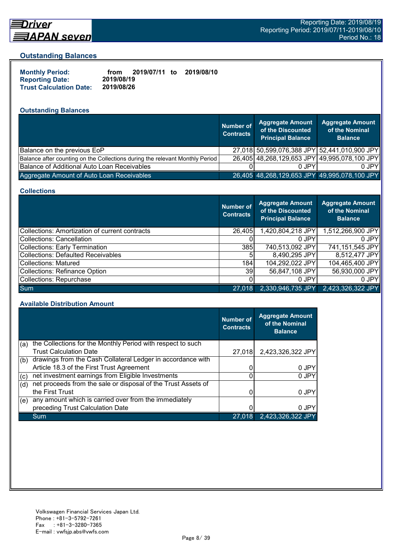

# Driver

#### **Outstanding Balances**

| <b>Monthly Period:</b>         | from       | 2019/07/11 to | 2019/08/10 |
|--------------------------------|------------|---------------|------------|
| <b>Reporting Date:</b>         | 2019/08/19 |               |            |
| <b>Trust Calculation Date:</b> | 2019/08/26 |               |            |

## **Outstanding Balances**

|                                                                              | <b>Number of</b><br><b>Contracts</b> | <b>Aggregate Amount</b><br>of the Discounted<br><b>Principal Balance</b> | <b>Aggregate Amount</b><br>of the Nominal<br><b>Balance</b> |
|------------------------------------------------------------------------------|--------------------------------------|--------------------------------------------------------------------------|-------------------------------------------------------------|
| Balance on the previous EoP                                                  |                                      |                                                                          | 27,018 50,599,076,388 JPY 52,441,010,900 JPY                |
| Balance after counting on the Collections during the relevant Monthly Period |                                      |                                                                          | 26,405 48,268,129,653 JPY 49,995,078,100 JPY                |
| Balance of Additional Auto Loan Receivables                                  |                                      | 0.JPY                                                                    | 0 JPY                                                       |
| Aggregate Amount of Auto Loan Receivables                                    |                                      | 26,405 48,268,129,653 JPY 49,995,078,100 JPY                             |                                                             |

#### **Collections**

|                                                | Number of<br><b>Contracts</b> | Aggregate Amount<br>of the Discounted<br><b>Principal Balance</b> | <b>Aggregate Amount</b><br>of the Nominal<br><b>Balance</b> |
|------------------------------------------------|-------------------------------|-------------------------------------------------------------------|-------------------------------------------------------------|
| Collections: Amortization of current contracts | 26,405                        | 1,420,804,218 JPY                                                 | 1,512,266,900 JPY                                           |
| Collections: Cancellation                      |                               | 0 JPY                                                             | $0$ JPY                                                     |
| Collections: Early Termination                 | 385                           | 740,513,092 JPY                                                   | 741,151,545 JPY                                             |
| Collections: Defaulted Receivables             | 5                             | 8,490,295 JPY                                                     | 8,512,477 JPY                                               |
| Collections: Matured                           | 184                           | 104,292,022 JPY                                                   | 104,465,400 JPY                                             |
| Collections: Refinance Option                  | 39 <sub>l</sub>               | 56,847,108 JPY                                                    | 56,930,000 JPY                                              |
| Collections: Repurchase                        |                               | 0 JPY                                                             | 0 JPY                                                       |
| <b>Sum</b>                                     | 27.018                        | 2,330,946,735 JPY                                                 | 2,423,326,322 JPY                                           |

#### **Available Distribution Amount**

|     |                                                               | <b>Number of</b><br><b>Contracts</b> | <b>Aggregate Amount</b><br>of the Nominal<br><b>Balance</b> |
|-----|---------------------------------------------------------------|--------------------------------------|-------------------------------------------------------------|
| (a) | the Collections for the Monthly Period with respect to such   |                                      |                                                             |
|     | <b>Trust Calculation Date</b>                                 | 27,018                               | 2,423,326,322 JPY                                           |
| (b) | drawings from the Cash Collateral Ledger in accordance with   |                                      |                                                             |
|     | Article 18.3 of the First Trust Agreement                     |                                      | 0 JPY                                                       |
| (c) | net investment earnings from Eligible Investments             | 0                                    | 0 JPY                                                       |
| (d) | net proceeds from the sale or disposal of the Trust Assets of |                                      |                                                             |
|     | the First Trust                                               |                                      | 0 JPY                                                       |
| (e) | any amount which is carried over from the immediately         |                                      |                                                             |
|     | preceding Trust Calculation Date                              |                                      | 0 JPY                                                       |
|     | Sum                                                           | 27,018                               | 2,423,326,322 JPY                                           |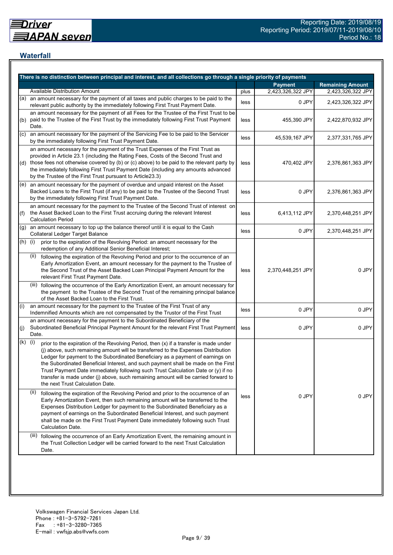## **Waterfall**

|           | There is no distinction between principal and interest, and all collections go through a single priority of payments                                                                                                                                                                                                                                                                                                                                                                                                                                                    |      |                   |                         |
|-----------|-------------------------------------------------------------------------------------------------------------------------------------------------------------------------------------------------------------------------------------------------------------------------------------------------------------------------------------------------------------------------------------------------------------------------------------------------------------------------------------------------------------------------------------------------------------------------|------|-------------------|-------------------------|
|           |                                                                                                                                                                                                                                                                                                                                                                                                                                                                                                                                                                         |      | <b>Payment</b>    | <b>Remaining Amount</b> |
|           | <b>Available Distribution Amount</b>                                                                                                                                                                                                                                                                                                                                                                                                                                                                                                                                    | plus | 2,423,326,322 JPY | 2,423,326,322 JPY       |
| (a)       | an amount necessary for the payment of all taxes and public charges to be paid to the<br>relevant public authority by the immediately following First Trust Payment Date.                                                                                                                                                                                                                                                                                                                                                                                               | less | 0 JPY             | 2,423,326,322 JPY       |
| (b)       | an amount necessary for the payment of all Fees for the Trustee of the First Trust to be<br>paid to the Trustee of the First Trust by the immediately following First Trust Payment<br>Date.                                                                                                                                                                                                                                                                                                                                                                            | less | 455,390 JPY       | 2,422,870,932 JPY       |
| (C)       | an amount necessary for the payment of the Servicing Fee to be paid to the Servicer<br>by the immediately following First Trust Payment Date.                                                                                                                                                                                                                                                                                                                                                                                                                           | less | 45,539,167 JPY    | 2,377,331,765 JPY       |
|           | an amount necessary for the payment of the Trust Expenses of the First Trust as<br>provided in Article 23.1 (including the Rating Fees, Costs of the Second Trust and<br>(d) those fees not otherwise covered by (b) or (c) above) to be paid to the relevant party by<br>the immediately following First Trust Payment Date (including any amounts advanced<br>by the Trustee of the First Trust pursuant to Article23.3)                                                                                                                                              | less | 470,402 JPY       | 2,376,861,363 JPY       |
|           | $(e)$ an amount necessary for the payment of overdue and unpaid interest on the Asset<br>Backed Loans to the First Trust (if any) to be paid to the Trustee of the Second Trust<br>by the immediately following First Trust Payment Date.                                                                                                                                                                                                                                                                                                                               | less | 0 JPY             | 2,376,861,363 JPY       |
| (f)       | an amount necessary for the payment to the Trustee of the Second Trust of interest on<br>the Asset Backed Loan to the First Trust accruing during the relevant Interest<br><b>Calculation Period</b>                                                                                                                                                                                                                                                                                                                                                                    | less | 6,413,112 JPY     | 2,370,448,251 JPY       |
| (g)       | an amount necessary to top up the balance thereof until it is equal to the Cash<br>Collateral Ledger Target Balance                                                                                                                                                                                                                                                                                                                                                                                                                                                     | less | 0 JPY             | 2,370,448,251 JPY       |
| $(h)$ (i) | prior to the expiration of the Revolving Period: an amount necessary for the<br>redemption of any Additional Senior Beneficial Interest;                                                                                                                                                                                                                                                                                                                                                                                                                                |      |                   |                         |
|           | following the expiration of the Revolving Period and prior to the occurrence of an<br>(ii)<br>Early Amortization Event, an amount necessary for the payment to the Trustee of<br>the Second Trust of the Asset Backed Loan Principal Payment Amount for the<br>relevant First Trust Payment Date.                                                                                                                                                                                                                                                                       | less | 2,370,448,251 JPY | 0 JPY                   |
|           | (iii) following the occurrence of the Early Amortization Event, an amount necessary for<br>the payment to the Trustee of the Second Trust of the remaining principal balance<br>of the Asset Backed Loan to the First Trust.                                                                                                                                                                                                                                                                                                                                            |      |                   |                         |
| (i)       | an amount necessary for the payment to the Trustee of the First Trust of any<br>Indemnified Amounts which are not compensated by the Trustor of the First Trust                                                                                                                                                                                                                                                                                                                                                                                                         | less | 0 JPY             | 0 JPY                   |
| (j)       | an amount necessary for the payment to the Subordinated Beneficiary of the<br>Subordinated Beneficial Principal Payment Amount for the relevant First Trust Payment<br>Date.                                                                                                                                                                                                                                                                                                                                                                                            | less | 0 JPY             | 0 JPY                   |
| (k)       | (i)<br>prior to the expiration of the Revolving Period, then (x) if a transfer is made under<br>(j) above, such remaining amount will be transferred to the Expenses Distribution<br>Ledger for payment to the Subordinated Beneficiary as a payment of earnings on<br>the Subordinated Beneficial Interest, and such payment shall be made on the First<br>Trust Payment Date immediately following such Trust Calculation Date or (y) if no<br>transfer is made under (j) above, such remaining amount will be carried forward to<br>the next Trust Calculation Date. |      |                   |                         |
|           | (ii)<br>following the expiration of the Revolving Period and prior to the occurrence of an<br>Early Amortization Event, then such remaining amount will be transferred to the<br>Expenses Distribution Ledger for payment to the Subordinated Beneficiary as a<br>payment of earnings on the Subordinated Beneficial Interest, and such payment<br>shall be made on the First Trust Payment Date immediately following such Trust<br>Calculation Date.                                                                                                                  | less | 0 JPY             | 0 JPY                   |
|           | (iii) following the occurrence of an Early Amortization Event, the remaining amount in<br>the Trust Collection Ledger will be carried forward to the next Trust Calculation<br>Date.                                                                                                                                                                                                                                                                                                                                                                                    |      |                   |                         |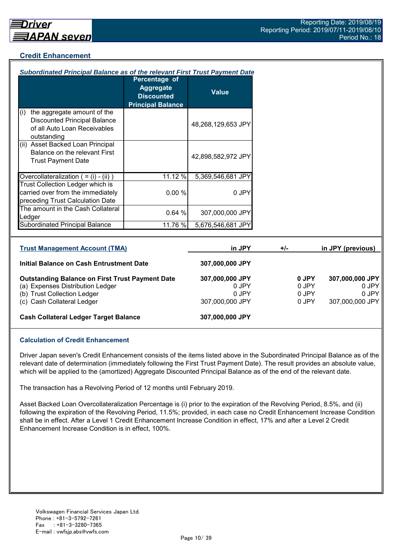## **Credit Enhancement**

| <b>Subordinated Principal Balance as of the relevant First Trust Payment Date</b>                                        |                                                                                    |                          |       |                |                          |
|--------------------------------------------------------------------------------------------------------------------------|------------------------------------------------------------------------------------|--------------------------|-------|----------------|--------------------------|
|                                                                                                                          | Percentage of<br><b>Aggregate</b><br><b>Discounted</b><br><b>Principal Balance</b> | <b>Value</b>             |       |                |                          |
| the aggregate amount of the<br>(i)<br><b>Discounted Principal Balance</b><br>of all Auto Loan Receivables<br>outstanding |                                                                                    | 48,268,129,653 JPY       |       |                |                          |
| (ii) Asset Backed Loan Principal<br>Balance on the relevant First<br><b>Trust Payment Date</b>                           |                                                                                    | 42,898,582,972 JPY       |       |                |                          |
| Overcollateralization $( = (i) - (ii))$                                                                                  | 11.12 %                                                                            | 5,369,546,681 JPY        |       |                |                          |
| Trust Collection Ledger which is<br>carried over from the immediately<br>preceding Trust Calculation Date                | 0.00%                                                                              | 0 JPY                    |       |                |                          |
| The amount in the Cash Collateral<br>Ledger                                                                              | 0.64%                                                                              | 307,000,000 JPY          |       |                |                          |
| Subordinated Principal Balance                                                                                           | 11.76 %                                                                            | 5,676,546,681 JPY        |       |                |                          |
| <b>Trust Management Account (TMA)</b>                                                                                    |                                                                                    | in JPY                   | $+/-$ |                | in JPY (previous)        |
| Initial Balance on Cash Entrustment Date                                                                                 |                                                                                    | 307,000,000 JPY          |       |                |                          |
| <b>Outstanding Balance on First Trust Payment Date</b><br>(a) Expenses Distribution Ledger                               |                                                                                    | 307,000,000 JPY<br>0 JPY |       | 0 JPY<br>0 JPY | 307,000,000 JPY<br>0 JPY |

| (b) Trust Collection Ledger | 0 JPY           | 0 JPY | 0 JPY           |
|-----------------------------|-----------------|-------|-----------------|
| (c) Cash Collateral Ledger  | 307,000,000 JPY | 0 JPY | 307,000,000 JPY |

## **Cash Collateral Ledger Target Balance 307,000,000 JPY**

## **Calculation of Credit Enhancement**

Driver Japan seven's Credit Enhancement consists of the items listed above in the Subordinated Principal Balance as of the relevant date of determination (immediately following the First Trust Payment Date). The result provides an absolute value, which will be applied to the (amortized) Aggregate Discounted Principal Balance as of the end of the relevant date.

The transaction has a Revolving Period of 12 months until February 2019.

Asset Backed Loan Overcollateralization Percentage is (i) prior to the expiration of the Revolving Period, 8.5%, and (ii) following the expiration of the Revolving Period, 11.5%; provided, in each case no Credit Enhancement Increase Condition shall be in effect. After a Level 1 Credit Enhancement Increase Condition in effect, 17% and after a Level 2 Credit Enhancement Increase Condition is in effect, 100%.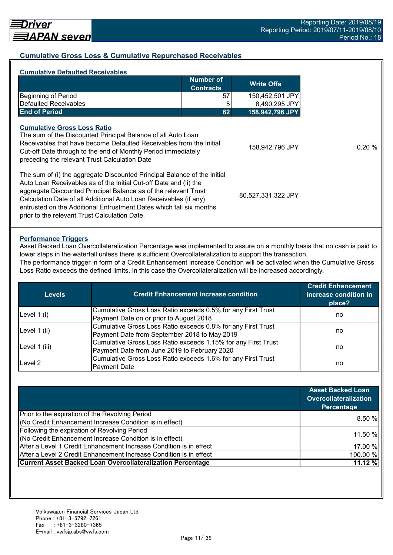## **Cumulative Gross Loss & Cumulative Repurchased Receivables**

| <b>Number of</b><br><b>Write Offs</b><br><b>Contracts</b><br><b>Beginning of Period</b><br>57<br>150,452,501 JPY<br>Defaulted Receivables<br>5<br>8,490,295 JPY<br><b>End of Period</b><br>62<br>158,942,796 JPY<br><b>Cumulative Gross Loss Ratio</b><br>The sum of the Discounted Principal Balance of all Auto Loan<br>Receivables that have become Defaulted Receivables from the Initial<br>Cut-off Date through to the end of Monthly Period immediately<br>preceding the relevant Trust Calculation Date<br>The sum of (i) the aggregate Discounted Principal Balance of the Initial<br>Auto Loan Receivables as of the Initial Cut-off Date and (ii) the<br>aggregate Discounted Principal Balance as of the relevant Trust<br>Calculation Date of all Additional Auto Loan Receivables (if any)<br>entrusted on the Additional Entrustment Dates which fall six months | <b>Cumulative Defaulted Receivables</b>       |                    |
|---------------------------------------------------------------------------------------------------------------------------------------------------------------------------------------------------------------------------------------------------------------------------------------------------------------------------------------------------------------------------------------------------------------------------------------------------------------------------------------------------------------------------------------------------------------------------------------------------------------------------------------------------------------------------------------------------------------------------------------------------------------------------------------------------------------------------------------------------------------------------------|-----------------------------------------------|--------------------|
|                                                                                                                                                                                                                                                                                                                                                                                                                                                                                                                                                                                                                                                                                                                                                                                                                                                                                 |                                               |                    |
|                                                                                                                                                                                                                                                                                                                                                                                                                                                                                                                                                                                                                                                                                                                                                                                                                                                                                 |                                               |                    |
|                                                                                                                                                                                                                                                                                                                                                                                                                                                                                                                                                                                                                                                                                                                                                                                                                                                                                 |                                               |                    |
|                                                                                                                                                                                                                                                                                                                                                                                                                                                                                                                                                                                                                                                                                                                                                                                                                                                                                 |                                               |                    |
|                                                                                                                                                                                                                                                                                                                                                                                                                                                                                                                                                                                                                                                                                                                                                                                                                                                                                 |                                               | 158,942,796 JPY    |
|                                                                                                                                                                                                                                                                                                                                                                                                                                                                                                                                                                                                                                                                                                                                                                                                                                                                                 | prior to the relevant Trust Calculation Date. | 80,527,331,322 JPY |

#### **Performance Triggers**

Asset Backed Loan Overcollateralization Percentage was implemented to assure on a monthly basis that no cash is paid to lower steps in the waterfall unless there is sufficient Overcollateralization to support the transaction.

The performance trigger in form of a Credit Enhancement Increase Condition will be activated when the Cumulative Gross Loss Ratio exceeds the defined limits. In this case the Overcollateralization will be increased accordingly.

| <b>Credit Enhancement increase condition</b><br><b>Levels</b> |                                                               | <b>Credit Enhancement</b><br>increase condition in<br>place? |
|---------------------------------------------------------------|---------------------------------------------------------------|--------------------------------------------------------------|
| Level $1(i)$                                                  | Cumulative Gross Loss Ratio exceeds 0.5% for any First Trust  |                                                              |
|                                                               | Payment Date on or prior to August 2018                       | no                                                           |
|                                                               | Cumulative Gross Loss Ratio exceeds 0.8% for any First Trust  |                                                              |
| Level 1 (ii)                                                  | Payment Date from September 2018 to May 2019                  | no                                                           |
|                                                               | Cumulative Gross Loss Ratio exceeds 1.15% for any First Trust |                                                              |
| Level 1 (iii)                                                 | Payment Date from June 2019 to February 2020                  | no                                                           |
| Level 2                                                       | Cumulative Gross Loss Ratio exceeds 1.6% for any First Trust  |                                                              |
|                                                               | <b>Payment Date</b>                                           | no                                                           |

|                                                                    | <b>Asset Backed Loan</b><br><b>Overcollateralization</b><br>Percentage |
|--------------------------------------------------------------------|------------------------------------------------------------------------|
| Prior to the expiration of the Revolving Period                    |                                                                        |
| (No Credit Enhancement Increase Condition is in effect)            | 8.50%                                                                  |
| Following the expiration of Revolving Period                       | 11.50 %                                                                |
| (No Credit Enhancement Increase Condition is in effect)            |                                                                        |
| After a Level 1 Credit Enhancement Increase Condition is in effect | 17.00 %                                                                |
| After a Level 2 Credit Enhancement Increase Condition is in effect | 100.00 %                                                               |
| <b>Current Asset Backed Loan Overcollateralization Percentage</b>  | 11.12%                                                                 |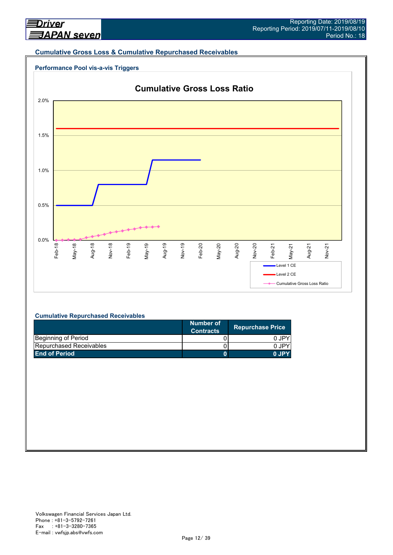#### **Cumulative Gross Loss & Cumulative Repurchased Receivables**





#### **Cumulative Repurchased Receivables**

|                                | Number of<br><b>Contracts</b> | <b>Repurchase Price</b> |
|--------------------------------|-------------------------------|-------------------------|
| Beginning of Period            |                               | 0 JPY                   |
| <b>Repurchased Receivables</b> |                               | 0 JPY                   |
| <b>End of Period</b>           |                               | 0.IPY                   |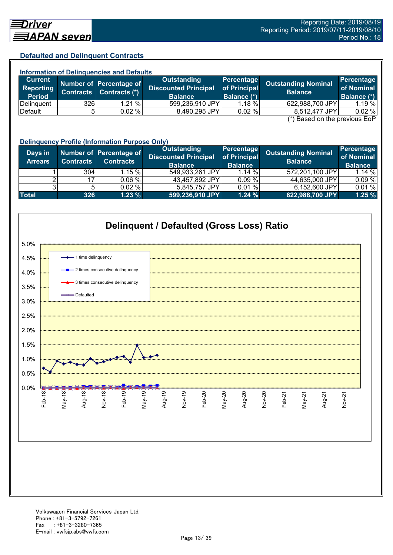## **Defaulted and Delinquent Contracts**

| <b>Information of Delinquencies and Defaults</b> |                  |                                          |                                                   |                            |                                               |                                 |  |  |
|--------------------------------------------------|------------------|------------------------------------------|---------------------------------------------------|----------------------------|-----------------------------------------------|---------------------------------|--|--|
| <b>Current</b><br>Reporting                      | <b>Contracts</b> | Number of Percentage of<br>Contracts (*) | <b>Outstanding</b><br><b>Discounted Principal</b> | Percentage<br>of Principal | <b>Outstanding Nominal</b><br><b>Balance</b>  | <b>Percentage</b><br>of Nominal |  |  |
| <b>Period</b>                                    |                  |                                          | <b>Balance</b>                                    | Balance (*)                |                                               | Balance (*)                     |  |  |
| Delinguent                                       | 326              | 1.21%                                    | 599,236,910 JPY                                   | $1.18 \%$                  | 622,988,700 JPY                               | 1.19%                           |  |  |
| Default                                          | 51               | 0.02%                                    | 8,490,295 JPY                                     | 0.02%                      | 8,512,477 JPY                                 | 0.02%                           |  |  |
|                                                  |                  |                                          |                                                   |                            | $(*)$ Bosed on the provisue $\Gamma_2 \Gamma$ |                                 |  |  |

(\*) Based on the previous EoP

|                           | <b>Delinquency Profile (Information Purpose Only)</b> |                                             |                                                                     |                                              |                                              |                                            |  |  |  |
|---------------------------|-------------------------------------------------------|---------------------------------------------|---------------------------------------------------------------------|----------------------------------------------|----------------------------------------------|--------------------------------------------|--|--|--|
| Days in<br><b>Arrears</b> | <b>Contracts</b>                                      | Number of Percentage of<br><b>Contracts</b> | <b>Outstanding</b><br><b>Discounted Principal</b><br><b>Balance</b> | Percentage<br>of Principal<br><b>Balance</b> | <b>Outstanding Nominal</b><br><b>Balance</b> | Percentage<br>of Nominal<br><b>Balance</b> |  |  |  |
|                           | 304                                                   | $1.15 \%$                                   | 549,933,261 JPY                                                     | 1.14%                                        | 572,201,100 JPY                              | 1.14 %                                     |  |  |  |
|                           | 17                                                    | 0.06%                                       | 43,457,892 JPY                                                      | 0.09%                                        | 44,635,000 JPY                               | 0.09%                                      |  |  |  |
|                           |                                                       | 0.02%                                       | 5,845,757 JPY                                                       | 0.01%                                        | 6,152,600 JPY                                | 0.01%                                      |  |  |  |
| <b>Total</b>              | 326                                                   | 1.23%                                       | 599,236,910 JPY                                                     | 1.24%                                        | 622,988,700 JPY                              | 1.25%                                      |  |  |  |

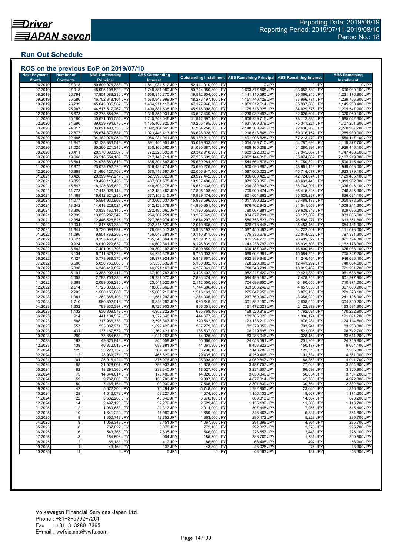## **Run Out Schedule**

| <b>Next Payment</b>     | <b>Number of</b>           | <b>ABS Outstanding</b>                   | <b>ABS Outstanding</b>                 |                                          | <b>Outstanding Installment ABS Remaining Principal</b> | <b>ABS Remaining Interest</b>    | <b>ABS Remaining</b>                   |
|-------------------------|----------------------------|------------------------------------------|----------------------------------------|------------------------------------------|--------------------------------------------------------|----------------------------------|----------------------------------------|
| <b>Month</b><br>06.2019 | <b>Contracts</b><br>27,018 | <b>Principal</b><br>50,599,076,388 JPY   | <b>Interest</b><br>1,841,934,512 JPY   | 52,441,010,900 JPY                       | 0 JPY                                                  | 0 JPY                            | <b>Installment</b><br>0 JPY            |
| 07.2019                 | 27,018                     | 48,995,198,820 JPY                       | 1,748,881,980 JPY                      | 50,744,080,800 JPY                       | 1,603,877,568 JPY                                      | 93,052,532 JPY                   | 1,696,930,100 JPY                      |
| 08.2019                 | 26,794                     | 47,854,088,230 JPY                       | 1,658,815,770 JPY                      | 49,512,904,000 JPY                       | 1,141,110,590 JPY                                      | 90,066,210 JPY                   | 1,231,176,800 JPY                      |
| 09.2019<br>10.2019      | 26,586<br>26,239           | 46,702,348,101 JPY<br>45,643,035,587 JPY | 1,570,848,999 JPY<br>1,484,911,113 JPY | 48,273,197,100 JPY<br>47,127,946,700 JPY | 1,151,740,129 JPY<br>1,059,312,514 JPY                 | 87,966,771 JPY<br>85,937,886 JPY | 1,239,706,900 JPY<br>1,145,250,400 JPY |
| 11.2019                 | 25,987                     | 44,517,517,262 JPY                       | 1,400,881,538 JPY                      | 45,918,398,800 JPY                       | 1,125,518,325 JPY                                      | 84,029,575 JPY                   | 1,209,547,900 JPY                      |
| 12.2019                 | 25,673                     | 42,278,584,769 JPY                       | 1,318,854,931 JPY                      | 43,597,439,700 JPY                       | 2,238,932,493 JPY                                      | 82,026,607 JPY                   | 2,320,959,100 JPY                      |
| 01.2020                 | 25,180                     | 40,671,655,054 JPY                       | 1,240,742,046 JPY                      | 41,912,397,100 JPY                       | 1,606,929,715 JPY                                      | 78,112,885 JPY                   | 1,685,042,600 JPY                      |
| 02.2020<br>03.2020      | 24,690                     | 39,039,794,675 JPY                       | 1,165,400,825 JPY                      | 40,205,195,500 JPY<br>37,984,258,300 JPY | 1,631,860,379 JPY<br>2,148,300,940 JPY                 | 75,341,221 JPY<br>72,636,260 JPY | 1,707,201,600 JPY<br>2,220,937,200 JPY |
| 04.2020                 | 24,017<br>22,877           | 36,891,493,735 JPY<br>35,674,879,887 JPY | 1,092,764,565 JPY<br>1,023,448,413 JPY | 36,698,328,300 JPY                       | 1,216,613,848 JPY                                      | 69,316,152 JPY                   | 1,285,930,000 JPY                      |
| 05.2020                 | 22,485                     | 34,182,976,259 JPY                       | 956,234,941 JPY                        | 35,139,211,200 JPY                       | 1,491,903,628 JPY                                      | 67,213,472 JPY                   | 1,559,117,100 JPY                      |
| 06.2020                 | 21,847                     | 32,128,386,549 JPY                       | 891,446,951 JPY                        | 33,019,833,500 JPY                       | 2,054,589,710 JPY                                      | 64,787,990 JPY                   | 2,119,377,700 JPY                      |
| 07.2020<br>08.2020      | 21,025                     | 30,260,221,340 JPY                       | 830,166,060 JPY                        | 31,090,387,400 JPY                       | 1,868,165,209 JPY                                      | 61,280,891 JPY                   | 1,929,446,100 JPY                      |
| 09.2020                 | 20,411<br>19,668           | 28,570,698,507 JPY<br>26,518,554,189 JPY | 772,220,393 JPY<br>717,145,711 JPY     | 29,342,918,900 JPY<br>27,235,699,900 JPY | 1,689,522,833 JPY<br>2,052,144,318 JPY                 | 57,945,667 JPY<br>55,074,682 JPY | 1,747,468,500 JPY<br>2,107,219,000 JPY |
| 10.2020                 | 18,584                     | 24,973,889,613 JPY                       | 665,394,887 JPY                        | 25,639,284,500 JPY                       | 1,544,664,576 JPY                                      | 51,750,824 JPY                   | 1,596,415,400 JPY                      |
| 11.2020                 | 17,877                     | 23,073,792,726 JPY                       | 616,433,774 JPY                        | 23,690,226,500 JPY                       | 1,900,096,887 JPY                                      | 48,961,113 JPY                   | 1,949,058,000 JPY                      |
| 12.2020                 | 16,888                     | 21,486,127,703 JPY                       | 570,719,697 JPY                        | 22,056,847,400 JPY                       | 1,587,665,023 JPY                                      | 45,714,077 JPY                   | 1,633,379,100 JPY                      |
| 01.202<br>02.2021       | 16,428<br>16,052           | 20,399,447,277 JPY<br>19,420,118,425 JPY | 527,995,023 JPY<br>487,361,575 JPY     | 20,927,442,300 JPY<br>19,907,480,000 JPY | 1,086,680,426 JPY<br>979,328,852 JPY                   | 42,724,674 JPY<br>40,633,448 JPY | 1,129,405,100 JPY<br>1,019,962,300 JPY |
| 03.2021                 | 15,547                     | 18,123,835,622 JPY                       | 448,598,278 JPY                        | 18,572,433,900 JPY                       | 1,296,282,803 JPY                                      | 38,763,297 JPY                   | 1,335,046,100 JPY                      |
| 04.202                  | 14,773                     | 17,413,926,148 JPY                       | 412,182,452 JPY                        | 17,826,108,600 JPY                       | 709,909,474 JPY                                        | 36,415,826 JPY                   | 746,325,300 JPY                        |
| 05.2021                 | 14,489                     | 16,612,321,285 JPY                       | 377,153,215 JPY                        | 16,989,474,500 JPY                       | 801,604,863 JPY                                        | 35,029,237 JPY                   | 836,634,100 JPY                        |
| 06.202                  | 14,077                     | 15,594,930,963 JPY                       | 343,665,037 JPY                        | 15,938,596,000 JPY                       | 1,017,390,322 JPY                                      | 33,488,178 JPY                   | 1,050,878,500 JPY                      |
| 07.202<br>08.202        | 13,642<br>13,306           | 14,618,228,021 JPY<br>13,838,160,140 JPY | 312,123,379 JPY<br>282,495,060 JPY     | 14,930,351,400 JPY<br>14,120,655,200 JPY | 976,702,942 JPY<br>780,067,881 JPY                     | 31,541,658 JPY<br>29,628,319 JPY | 1,008,244,600 JPY<br>809,696,200 JPY   |
| 09.2021                 | 12,899                     | 13,033,282,349 JPY                       | 254,367,251 JPY                        | 13,287,649,600 JPY                       | 804,877,791 JPY                                        | 28,127,809 JPY                   | 833,005,600 JPY                        |
| 10.202                  | 12,354                     | 12,446,528,826 JPY                       | 227,768,974 JPY                        | 12,674,297,800 JPY                       | 586,753,523 JPY                                        | 26,598,277 JPY                   | 613,351,800 JPY                        |
| 11.202                  | 12,034                     | 11,817,550,380 JPY                       | 202,315,520 JPY                        | 12,019,865,900 JPY                       | 628,978,446 JPY                                        | 25,453,454 JPY                   | 654,431,900 JPY                        |
| 12.202<br>01.2022       | 11,641<br>11,096           | 10,730,099,887 JPY<br>9,954,763,209 JPY  | 178,093,013 JPY<br>156,048,391 JPY     | 10,908,192,900 JPY<br>10,110,811,600 JPY | 1,087,450,493 JPY<br>775,336,678 JPY                   | 24,222,507 JPY<br>22,044,622 JPY | 1,111,673,000 JPY<br>797,381,300 JPY   |
| 02.2022                 | 10,627                     | 9,153,468,436 JPY                        | 135,548,864 JPY                        | 9,289,017,300 JPY                        | 801,294,773 JPY                                        | 20,499,527 JPY                   | 821,794,300 JPY                        |
| 03.202                  | 9,924                      | 8,010,229,639 JPY                        | 116,609,361 JPY                        | 8,126,839,000 JPY                        | 1,143,238,797 JPY                                      | 18,939,503 JPY                   | 1,162,178,300 JPY                      |
| 04.202                  | 8,682                      | 7,401,041,703 JPY                        | 99,809,197 JPY                         | 7,500,850,900 JPY                        | 609,187,936 JPY                                        | 16,800,164 JPY                   | 625,988,100 JPY                        |
| 05.2022<br>06.2022      | 8,134<br>7,427             | 6,711,379,322 JPY<br>5,778,989,376 JPY   | 84,224,378 JPY<br>69,977,924 JPY       | 6,795,603,700 JPY<br>5,848,967,300 JPY   | 689,662,381 JPY<br>932,389,946 JPY                     | 15,584,819 JPY<br>14,246,454 JPY | 705,247,200 JPY<br>946,636,400 JPY     |
| 07.2022                 | 6,500                      | 5,050,766,068 JPY                        | 57,536,632 JPY                         | 5,108,302,700 JPY                        | 728,223,308 JPY                                        | 12,441,292 JPY                   | 740,664,600 JPY                        |
| 08.202                  | 5,898                      | 4,340,419,837 JPY                        | 46,621,163 JPY                         | 4,387,041,000 JPY                        | 710,346,231 JPY                                        | 10,915,469 JPY                   | 721,261,700 JPY                        |
| 09.202                  | 5,191                      | 3,388,202,417 JPY                        | 37,199,783 JPY                         | 3,425,402,200 JPY                        | 952,217,420 JPY                                        | 9,421,380 JPY                    | 961,638,800 JPY                        |
| 10.2022<br>11.2022      | 4,059<br>3,368             | 2,793,703,230 JPY                        | 29,721,070 JPY                         | 2,823,424,300 JPY                        | 594,499,187 JPY                                        | 7,478,713 JPY                    | 601,977,900 JPY                        |
| 12.202                  | 2,514                      | 2,089,009,280 JPY<br>1,725,803,038 JPY   | 23,541,020 JPY<br>18,883,362 JPY       | 2,112,550,300 JPY<br>1,744,686,400 JPY   | 704,693,950 JPY<br>363,206,242 JPY                     | 6,180,050 JPY<br>4,657,658 JPY   | 710,874,000 JPY<br>367,863,900 JPY     |
| 01.202                  | 2,205                      | 1,500,155,088 JPY                        | 15,008,212 JPY                         | 1,515,163,300 JPY                        | 225,647,950 JPY                                        | 3,875,150 JPY                    | 229,523,100 JPY                        |
| 02.2023                 | 1,981                      | 1,262,385,108 JPY                        | 11,651,292 JPY                         | 1,274,036,400 JPY                        | 237,769,980 JPY                                        | 3,356,920 JPY                    | 241,126,900 JPY                        |
| 03.2023                 | 1,710                      | 960,802,918 JPY                          | 8,843,282 JPY                          | 969,646,200 JPY                          | 301,582,190 JPY                                        | 2,808,010 JPY                    | 304,390,200 JPY                        |
| 04.2023<br>05.202       | 1,332<br>1,132             | 799,330,397 JPY<br>630,809,578 JPY       | 6,720,903 JPY<br>4,958,822 JPY         | 806,051,300 JPY<br>635,768,400 JPY       | 161,472,521 JPY<br>168,520,819 JPY                     | 2,122,379 JPY<br>1,762,081 JPY   | 163,594,900 JPY<br>170,282,900 JPY     |
| 06.2023                 | 914                        | 441,104,552 JPY                          | 3,572,648 JPY                          | 444,677,200 JPY                          | 189,705,026 JPY                                        | 1,386,174 JPY                    | 191,091,200 JPY                        |
| 07.2023                 | 688                        | 317,966,333 JPY                          | 2,596,367 JPY                          | 320,562,700 JPY                          | 123,138,219 JPY                                        | 976,281 JPY                      | 124,114,500 JPY                        |
| 08.2023                 | 557                        | 235,387,274 JPY                          | 1,892,426 JPY                          | 237,279,700 JPY                          | 82,579,059 JPY                                         | 703,941 JPY                      | 83,283,000 JPY                         |
| 09.2023<br>10.202       | 431<br>289                 | 137,167,579 JPY<br>73,884,533 JPY        | 1,369,421 JPY<br>1,041,267 JPY         | 138,537,000 JPY<br>74,925,800 JPY        | 98,219,695 JPY<br>63,283,046 JPY                       | 523,005 JPY<br>328,154 JPY       | 98,742,700 JPY<br>63,611,200 JPY       |
| 11.2023                 | 192                        | 49,825,942 JPY                           | 840,058 JPY                            | 50,666,000 JPY                           | 24,058,591 JPY                                         | 201,209 JPY                      | 24,259,800 JPY                         |
| 12.2023                 | 138                        | 40,372,019 JPY                           | 689,881 JPY                            | 41,061,900 JPY                           | 9,453,923 JPY                                          | 150,177 JPY                      | 9,604,100 JPY                          |
| 01.2024                 | 129                        | 33,228,737 JPY                           | 567.363 JPY                            | 33,796,100 JPY                           | 7,143,282 JPY                                          | 122,518 JPY                      | 7,265,800 JPY                          |
| 02.2024<br>03.2024      | 112<br>104                 | 28,969,271 JPY<br>25,016,424 JPY         | 465,829 JPY<br>376,976 JPY             | 29,435,100 JPY<br>25,393,400 JPY         | 4,259,466 JPY<br>3,952,847 JPY                         | 101,534 JPY<br>88,853 JPY        | 4,361,000 JPY                          |
| 04.2024                 | 88                         | 21,528,667 JPY                           | 299,933 JPY                            | 21,828,600 JPY                           | 3,487,757 JPY                                          | 77,043 JPY                       | 4,041,700 JPY<br>3,564,800 JPY         |
| 05.2024                 | 82                         | 18,294,360 JPY                           | 233,340 JPY                            | 18,527,700 JPY                           | 3,234,307 JPY                                          | 66,593 JPY                       | 3,300,900 JPY                          |
| 06.2024                 | 75                         | 14,644,014 JPY                           | 176,486 JPY                            | 14,820,500 JPY                           | 3,650,346 JPY                                          | 56,854 JPY                       | 3,707,200 JPY                          |
| 07.2024                 | 59                         | 9,767,000 JPY                            | 130,700 JPY                            | 9,897,700 JPY                            | 4,877,014 JPY                                          | 45,786 JPY                       | 4,922,800 JPY                          |
| 08.2024<br>09.2024      | 50<br>42                   | 7,465,161 JPY<br>5,672,206 JPY           | 99,939 JPY<br>76,294 JPY               | 7,565,100 JPY<br>5,748,500 JPY           | 2,301,839 JPY<br>1,792,955 JPY                         | 30,761 JPY<br>23,645 JPY         | 2,332,600 JPY<br>1,816,600 JPY         |
| 10.2024                 | 28                         | 4,516,073 JPY                            | 58,227 JPY                             | 4,574,300 JPY                            | 1,156,133 JPY                                          | 18,067 JPY                       | 1,174,200 JPY                          |
| 11.2024                 | 22                         | 3,632,260 JPY                            | 43,840 JPY                             | 3,676,100 JPY                            | 883,813 JPY                                            | 14,387 JPY                       | 898,200 JPY                            |
| 12.2024                 | 14                         | 2,497,128 JPY                            | 32,272 JPY                             | 2,529,400 JPY                            | 1,135,132 JPY                                          | 11,568 JPY                       | 1,146,700 JPY                          |
| 01.2025<br>02.2025      | 12<br>10                   | 1,989,683 JPY<br>1,641,220 JPY           | 24,317 JPY<br>17,980 JPY               | 2,014,000 JPY<br>1,659,200 JPY           | 507,445 JPY<br>348,463 JPY                             | 7,955 JPY<br>6,337 JPY           | 515,400 JPY<br>354,800 JPY             |
| 03.2025                 | 8                          | 1,350,748 JPY                            | 12,752 JPY                             | 1,363,500 JPY                            | 290,472 JPY                                            | 5,228 JPY                        | 295,700 JPY                            |
| 04.2025                 | 8                          | 1,059,349 JPY                            | 8,451 JPY                              | 1,067,800 JPY                            | 291,399 JPY                                            | 4,301 JPY                        | 295,700 JPY                            |
| 05.2025                 | 8                          | 767,022 JPY                              | 5,078 JPY                              | 772,100 JPY                              | 292,327 JPY                                            | 3,373 JPY                        | 295,700 JPY                            |
| 06.2025<br>07.2025      | 6<br>3                     | 543,365 JPY<br>154,596 JPY               | 2,635 JPY<br>904 JPY                   | 546,000 JPY<br>155,500 JPY               | 223,657 JPY<br>388,769 JPY                             | 2,443 JPY<br>1,731 JPY           | 226,100 JPY<br>390,500 JPY             |
| 08.2025                 | $\overline{2}$             | 86,188 JPY                               | 412 JPY                                | 86,600 JPY                               | 68,408 JPY                                             | 492 JPY                          | 68,900 JPY                             |
| 09.2025                 |                            | 43,163 JPY                               | 137 JPY                                | 43,300 JPY                               | 43,025 JPY                                             | 275 JPY                          | 43,300 JPY                             |
| 10.2025                 |                            | 0 JPY                                    | 0 JPY                                  | 0 JPY                                    | 43,163 JPY                                             | 137 JPY                          | 43,300 JPY                             |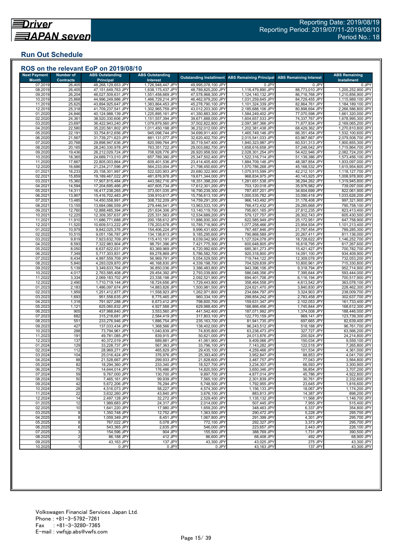## **Run Out Schedule**

| <b>Next Payment</b>     | <b>Number of</b>           | <b>ABS Outstanding</b>                   | <b>ABS Outstanding</b>                 |                                          | <b>Outstanding Installment ABS Remaining Principal</b> | <b>ABS Remaining Interest</b>    | <b>ABS Remaining</b>                   |
|-------------------------|----------------------------|------------------------------------------|----------------------------------------|------------------------------------------|--------------------------------------------------------|----------------------------------|----------------------------------------|
| <b>Month</b><br>07.2019 | <b>Contracts</b><br>26,405 | <b>Principal</b><br>48,268,129,653 JPY   | Interest<br>1,726,948,447 JPY          | 49,995,078,100 JPY                       | 0 JPY                                                  | 0 JPY                            | <b>Installment</b><br>0 JPY            |
| 08.2019                 | 26,405                     | 47,151,649,763 JPY                       | 1,638,175,437 JPY                      | 48,789,825,200 JPY                       | 1,116,479,890 JPY                                      | 88,773,010 JPY                   | 1,205,252,900 JPY                      |
| 09.2019                 | 26,204                     | 46,027,509,631 JPY                       | 1,551,458,669 JPY                      | 47,578,968,300 JPY                       | 1,124,140,132 JPY                                      | 86,716,768 JPY                   | 1,210,856,900 JPY                      |
| 10.2019                 | 25,868                     | 44,996,249,986 JPY                       | 1,466,729,214 JPY                      | 46,462,979,200 JPY                       | 1,031,259,645 JPY                                      | 84,729,455 JPY                   | 1,115,989,100 JPY                      |
| 11.2019                 | 25,625                     | 43,894,925,647 JPY                       | 1,383,864,453 JPY                      | 45,278,790,100 JPY                       | 1,101,324,339 JPY                                      | 82,864,761 JPY                   | 1,184,189,100 JPY                      |
| 12.2019                 | 25,318                     | 41,709,237,541 JPY                       | 1,302,965,759 JPY                      | 43,012,203,300 JPY                       | 2,185,688,106 JPY                                      | 80,898,694 JPY                   | 2,266,586,800 JPY                      |
| 01.2020                 | 24,846                     | 40,124,988,139 JPY                       | 1,225,895,161 JPY                      | 41,350,883,300 JPY                       | 1,584,249,402 JPY                                      | 77,070,598 JPY                   | 1,661,320,000 JPY                      |
| 02.2020<br>03.2020      | 24,361<br>23,697           | 38,520,330,606 JPY<br>36,422,943,240 JPY | 1,151,557,394 JPY<br>1,079,879,560 JPY | 39,671,888,000 JPY<br>37,502,822,800 JPY | 1,604,657,533 JPY<br>2,097,387,366 JPY                 | 74,337,767 JPY<br>71,677,834 JPY | 1,678,995,300 JPY<br>2,169,065,200 JPY |
| 04.2020                 | 22,580                     | 35,220,561,802 JPY                       | 1,011,450,198 JPY                      | 36,232,012,000 JPY                       | 1,202,381,438 JPY                                      | 68,429,362 JPY                   | 1,270,810,800 JPY                      |
| 05.2020                 | 22,191                     | 33,754,812,656 JPY                       | 945,098,744 JPY                        | 34,699,911,400 JPY                       | 1,465,749,146 JPY                                      | 66,351,454 JPY                   | 1,532,100,600 JPY                      |
| 06.2020                 | 21,567                     | 31,739,271,623 JPY                       | 881,131,077 JPY                        | 32,620,402,700 JPY                       | 2,015,541,033 JPY                                      | 63,967,667 JPY                   | 2,079,508,700 JPY                      |
| 07.2020                 | 20,768                     | 29,898,947,636 JPY                       | 820,599,764 JPY                        | 30,719,547,400 JPY                       | 1,840,323,987 JPY                                      | 60,531,313 JPY                   | 1,900,855,300 JPY                      |
| 08.2020                 | 20,165                     | 28,240,330,978 JPY                       | 763,351,722 JPY                        | 29,003,682,700 JPY                       | 1,658,616,658 JPY                                      | 57,248,042 JPY                   | 1,715,864,700 JPY                      |
| 09.2020                 | 19,436                     | 26,212,029,724 JPY                       | 708,928,776 JPY                        | 26,920,958,500 JPY                       | 2,028,301,254 JPY                                      | 54,422,946 JPY                   | 2,082,724,200 JPY                      |
| 10.2020<br>11.2020      | 18,365<br>17,667           | 24,689,713,010 JPY<br>22,805,003,864 JPY | 657,789,390 JPY<br>609,401,536 JPY     | 25,347,502,400 JPY<br>23,414,405,400 JPY | 1,522,316,714 JPY<br>1,884,709,146 JPY                 | 51,139,386 JPY<br>48,387,854 JPY | 1,573,456,100 JPY<br>1,933,097,000 JPY |
| 12.2020                 | 16,686                     | 21,234,217,596 JPY                       | 564,233,004 JPY                        | 21,798,450,600 JPY                       | 1,570,786,268 JPY                                      | 45,168,532 JPY                   | 1,615,954,800 JPY                      |
| 01.202'                 | 16,233                     | 20,158,301,997 JPY                       | 522,020,903 JPY                        | 20,680,322,900 JPY                       | 1,075,915,599 JPY                                      | 42,212,101 JPY                   | 1,118,127,700 JPY                      |
| 02.202'                 | 15,859                     | 19,189,467,022 JPY                       | 481,876,978 JPY                        | 19,671,344,000 JPY                       | 968,834,975 JPY                                        | 40,143,925 JPY                   | 1,008,978,900 JPY                      |
| 03.2021                 | 15,360                     | 17,907,815,484 JPY                       | 443,582,716 JPY                        | 18,351,398,200 JPY                       | 1,281,651,538 JPY                                      | 38,294,262 JPY                   | 1,319,945,800 JPY                      |
| 04.2021                 | 14,594                     | 17,204,695,466 JPY                       | 407,605,734 JPY                        | 17,612,301,200 JPY                       | 703,120,018 JPY                                        | 35,976,982 JPY                   | 739,097,000 JPY                        |
| 05.202'                 | 14,311                     | 16,417,238,265 JPY                       | 373,001,035 JPY                        | 16,790,239,300 JPY                       | 787,457,201 JPY                                        | 34,604,699 JPY                   | 822,061,900 JPY                        |
| 06.2021                 | 13,907                     | 15,416,702,483 JPY                       | 339,910,617 JPY                        | 15,756,613,100 JPY                       | 1,000,535,782 JPY                                      | 33,090,418 JPY                   | 1,033,626,200 JPY                      |
| 07.202                  | 13,485                     | 14,450,558,991 JPY                       | 308,732,209 JPY                        | 14,759,291,200 JPY                       | 966,143,492 JPY                                        | 31,178,408 JPY                   | 997,321,900 JPY                        |
| 08.202'<br>09.202       | 13,155                     | 13,684,086,559 JPY<br>12,888,485,394 JPY | 279,446,541 JPY<br>251,634,306 JPY     | 13,963,533,100 JPY                       | 766,472,432 JPY<br>795,601,165 JPY                     | 29,285,668 JPY<br>27,812,235 JPY | 795,758,100 JPY<br>823,413,400 JPY     |
| 10.2021                 | 12,760<br>12,225           | 12,309,357,637 JPY                       | 225,331,563 JPY                        | 13,140,119,700 JPY<br>12,534,689,200 JPY | 579,127,757 JPY                                        | 26,302,743 JPY                   | 605,430,500 JPY                        |
| 11.202'                 | 11,910                     | 11,686,771,688 JPY                       | 200,158,612 JPY                        | 11,886,930,300 JPY                       | 622,585,949 JPY                                        | 25,172,951 JPY                   | 647,758,900 JPY                        |
| 12.202                  | 11,520                     | 10,609,513,222 JPY                       | 176,203,678 JPY                        | 10,785,716,900 JPY                       | 1,077,258,466 JPY                                      | 23,954,934 JPY                   | 1,101,213,400 JPY                      |
| 01.2022                 | 10,979                     | 9,842,025,376 JPY                        | 154,406,224 JPY                        | 9,996,431,600 JPY                        | 767,487,846 JPY                                        | 21.797.454 JPY                   | 789,285,300 JPY                        |
| 02.2022                 | 10,515                     | 9,051,156,787 JPY                        | 134,138,813 JPY                        | 9,185,295,600 JPY                        | 790,868,589 JPY                                        | 20,267,411 JPY                   | 811,136,000 JPY                        |
| 03.202                  | 9,819                      | 7,923,632,709 JPY                        | 115,410,191 JPY                        | 8,039,042,900 JPY                        | 1,127,524,078 JPY                                      | 18,728,622 JPY                   | 1,146,252,700 JPY                      |
| 04.202                  | 8,593                      | 7,322,983,904 JPY                        | 98,791,396 JPY                         | 7,421,775,300 JPY                        | 600,648,805 JPY                                        | 16,618,795 JPY                   | 617,267,600 JPY                        |
| 05.202<br>06.2022       | 8,050<br>7,349             | 6,637,622,631 JPY<br>5,717,303,831 JPY   | 83,369,969 JPY<br>69,278,869 JPY       | 6,720,992,600 JPY<br>5,786,582,700 JPY   | 685,361,273 JPY<br>920,318,800 JPY                     | 15,421,427 JPY<br>14,091,100 JPY | 700,782,700 JPY<br>934,409,900 JPY     |
| 07.2022                 | 6,434                      | 4,997,559,709 JPY                        | 56,969,791 JPY                         | 5,054,529,500 JPY                        | 719,744,122 JPY                                        | 12,309,078 JPY                   | 732,053,200 JPY                        |
| 08.2022                 | 5,840                      | 4,293,029,870 JPY                        | 46,168,830 JPY                         | 4,339,198,700 JPY                        | 704,529,839 JPY                                        | 10,800,961 JPY                   | 715,330,800 JPY                        |
| 09.202                  | 5,139                      | 3,349,633,764 JPY                        | 36,850,036 JPY                         | 3,386,483,800 JPY                        | 943,396,106 JPY                                        | 9,318,794 JPY                    | 952,714,900 JPY                        |
| 10.2022                 | 4,017                      | 2,763,585,408 JPY                        | 29,454,392 JPY                         | 2,793,039,800 JPY                        | 586,048,356 JPY                                        | 7,395,644 JPY                    | 593,444,000 JPY                        |
| 11.2022                 | 3,334                      | 2,069,183,702 JPY                        | 23,338,198 JPY                         | 2,092,521,900 JPY                        | 694,401,706 JPY                                        | 6,116,194 JPY                    | 700,517,900 JPY                        |
| 12.2022                 | 2,490                      | 1,710,719,144 JPY                        | 18,724,656 JPY                         | 1,729,443,800 JPY                        | 358,464,558 JPY                                        | 4,613,542 JPY                    | 363,078,100 JPY                        |
| 01.2023                 | 2,183                      | 1,486,097,674 JPY                        | 14,883,826 JPY                         | 1,500,981,500 JPY                        | 224,621,470 JPY                                        | 3,840,830 JPY                    | 228,462,300 JPY                        |
| 02.202<br>03.2023       | 1,959<br>1,693             | 1,251,412,877 JPY<br>951,558,635 JPY     | 11,558,923 JPY<br>8,775,465 JPY        | 1,262,971,800 JPY<br>960,334,100 JPY     | 234,684,797 JPY<br>299,854,242 JPY                     | 3,324,903 JPY<br>2,783,458 JPY   | 238,009,700 JPY<br>302,637,700 JPY     |
| 04.2023                 | 1,318                      | 791,927,288 JPY                          | 6,673,412 JPY                          | 798,600,700 JPY                          | 159,631,347 JPY                                        | 2,102,053 JPY                    | 161,733,400 JPY                        |
| 05.2023                 | 1,121                      | 625,060,832 JPY                          | 4,927,568 JPY                          | 629,988,400 JPY                          | 166,866,456 JPY                                        | 1,745,844 JPY                    | 168,612,300 JPY                        |
| 06.2023                 | 905                        | 437,988,840 JPY                          | 3,553,560 JPY                          | 441,542,400 JPY                          | 187,071,992 JPY                                        | 1,374,008 JPY                    | 188,446,000 JPY                        |
| 07.2023                 | 682                        | 315,218,681 JPY                          | 2,584,419 JPY                          | 317,803,100 JPY                          | 122,770,159 JPY                                        | 969,141 JPY                      | 123,739,300 JPY                        |
| 08.2023                 | 551                        | 233,276,946 JPY                          | 1,886,754 JPY                          | 235, 163, 700 JPY                        | 81,941,735 JPY                                         | 697,665 JPY                      | 82,639,400 JPY                         |
| 09.2023                 | 427                        | 137,033,434 JPY                          | 1,368,566 JPY                          | 138,402,000 JPY                          | 96,243,512 JPY                                         | 518,188 JPY                      | 96,761,700 JPY                         |
| 10.2023                 | 288                        | 73,794,961 JPY                           | 1,040,839 JPY<br>839,915 JPY           | 74,835,800 JPY                           | 63,238,473 JPY                                         | 327,727 JPY                      | 63,566,200 JPY                         |
| 11.2023<br>12.2023      | 191<br>137                 | 49,781,085 JPY<br>40,372,019 JPY         | 689,881 JPY                            | 50,621,000 JPY<br>41,061,900 JPY         | 24,013,876 JPY<br>9,409,066 JPY                        | 200,924 JPY<br>150,034 JPY       | 24,214,800 JPY<br>9,559,100 JPY        |
| 01.2024                 | 129                        | 33,228,737 JPY                           | 567,363 JPY                            | 33,796,100 JPY                           | 7,143,282 JPY                                          | 122,518 JPY                      | 7,265,800 JPY                          |
| 02.2024                 | 112                        | 28,969,271 JPY                           | 465.829 JPY                            | 29,435,100 JPY                           | 4,259,466 JPY                                          | 101,534 JPY                      | 4,361,000 JPY                          |
| 03.2024                 | 104                        | 25,016,424 JPY                           | 376,976 JPY                            | 25,393,400 JPY                           | 3,952,847 JPY                                          | 88,853 JPY                       | 4,041,700 JPY                          |
| 04.2024                 | 88                         | 21,528,667 JPY                           | 299,933 JPY                            | 21,828,600 JPY                           | 3,487,757 JPY                                          | 77,043 JPY                       | 3,564,800 JPY                          |
| 05.2024                 | 82                         | 18,294,360 JPY                           | 233,340 JPY                            | 18,527,700 JPY                           | 3,234,307 JPY                                          | 66,593 JPY                       | 3,300,900 JPY                          |
| 06.2024                 | 75                         | 14,644,014 JPY                           | 176,486 JPY                            | 14,820,500 JPY                           | 3,650,346 JPY                                          | 56,854 JPY                       | 3,707,200 JPY                          |
| 07.2024                 | 59                         | 9,767,000 JPY                            | 130,700 JPY                            | 9,897,700 JPY                            | 4,877,014 JPY                                          | 45,786 JPY                       | 4,922,800 JPY                          |
| 08.2024                 | 50                         | 7,465,161 JPY                            | 99,939 JPY                             | 7,565,100 JPY                            | 2,301,839 JPY                                          | 30,761 JPY                       | 2,332,600 JPY                          |
| 09.2024<br>10.2024      | 42<br>28                   | 5,672,206 JPY<br>4,516,073 JPY           | 76,294 JPY<br>58,227 JPY               | 5,748,500 JPY<br>4,574,300 JPY           | 1,792,955 JPY<br>1,156,133 JPY                         | 23,645 JPY<br>18,067 JPY         | 1,816,600 JPY<br>1,174,200 JPY         |
| 11.2024                 | 22                         | 3,632,260 JPY                            | 43,840 JPY                             | 3.676.100 JPY                            | 883,813 JPY                                            | 14,387 JPY                       | 898,200 JPY                            |
| 12.2024                 | 14                         | 2,497,128 JPY                            | 32,272 JPY                             | 2,529,400 JPY                            | 1,135,132 JPY                                          | 11,568 JPY                       | 1,146,700 JPY                          |
| 01.2025                 | 12                         | 1,989,683 JPY                            | 24,317 JPY                             | 2.014.000 JPY                            | 507,445 JPY                                            | 7,955 JPY                        | 515,400 JPY                            |
| 02.2025                 | 10                         | 1,641,220 JPY                            | 17,980 JPY                             | 1,659,200 JPY                            | 348,463 JPY                                            | 6,337 JPY                        | 354,800 JPY                            |
| 03.2025                 | 8                          | 1,350,748 JPY                            | 12,752 JPY                             | 1,363,500 JPY                            | 290,472 JPY                                            | 5,228 JPY                        | 295,700 JPY                            |
| 04.2025                 | 8                          | 1,059,349 JPY                            | 8,451 JPY                              | 1,067,800 JPY                            | 291,399 JPY                                            | 4,301 JPY                        | 295,700 JPY                            |
| 05.2025                 | 8                          | 767,022 JPY                              | 5,078 JPY                              | 772,100 JPY                              | 292,327 JPY                                            | 3,373 JPY                        | 295,700 JPY                            |
| 06.2025                 | 6                          | 543,365 JPY                              | 2,635 JPY                              | 546,000 JPY                              | 223,657 JPY                                            | 2,443 JPY                        | 226,100 JPY                            |
| 07.2025<br>08.2025      | 3<br>$\overline{2}$        | 154,596 JPY<br>86,188 JPY                | 904 JPY<br>412 JPY                     | 155,500 JPY<br>86,600 JPY                | 388,769 JPY<br>68,408 JPY                              | 1,731 JPY<br>492 JPY             | 390,500 JPY<br>68,900 JPY              |
| 09.2025                 | 1                          | 43,163 JPY                               | 137 JPY                                | 43,300 JPY                               | 43,025 JPY                                             | 275 JPY                          | 43,300 JPY                             |
|                         |                            |                                          |                                        |                                          |                                                        |                                  |                                        |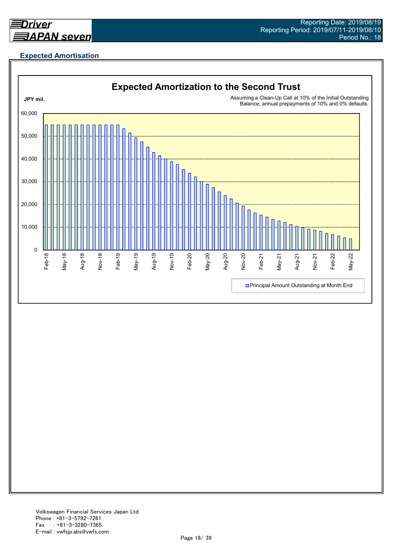

## **Expected Amortisation**

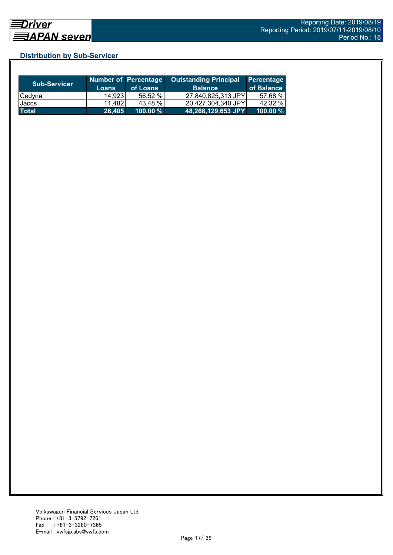## **Distribution by Sub-Servicer**

| <b>Sub-Servicer</b> | <b>Loans</b> | Number of Percentage<br>of Loans | <b>Outstanding Principal</b><br><b>Balance</b> | <b>Percentage</b><br>of Balance |
|---------------------|--------------|----------------------------------|------------------------------------------------|---------------------------------|
| Cedyna              | 14.9231      | 56.52 %                          | 27,840,825,313 JPY                             | 57.68 %                         |
| Jaccs               | 11,482       | 43.48 %                          | 20.427.304.340 JPYI                            | 42.32 %                         |
| <b>Total</b>        | 26,405       | 100.00 %                         | 48,268,129,653 JPY                             | $100.00 \%$                     |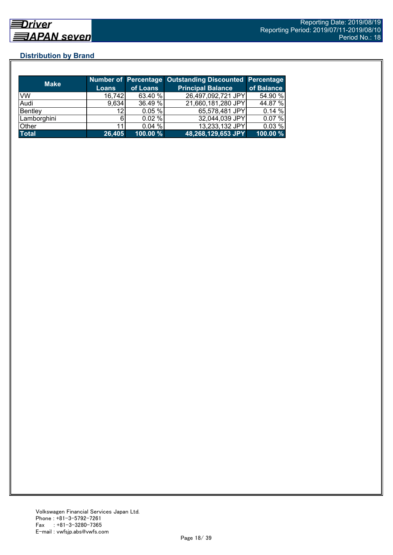## **Distribution by Brand**

| <b>Make</b>  |              |          | <b>Number of Percentage Outstanding Discounted Percentage</b> |            |
|--------------|--------------|----------|---------------------------------------------------------------|------------|
|              | <b>Loans</b> | of Loans | <b>Principal Balance</b>                                      | of Balance |
| VW           | 16,742       | 63.40 %  | 26,497,092,721 JPY                                            | 54.90 %    |
| Audi         | 9,634        | 36.49 %  | 21,660,181,280 JPY                                            | 44.87 %    |
| Bentley      | 12           | 0.05%    | 65,578,481 JPY                                                | 0.14%      |
| Lamborghini  |              | 0.02%    | 32,044,039 JPY                                                | 0.07%      |
| Other        |              | 0.04%    | 13,233,132 JPY                                                | 0.03%      |
| <b>Total</b> | 26,405       | 100.00%  | 48,268,129,653 JPY                                            | 100.00 %   |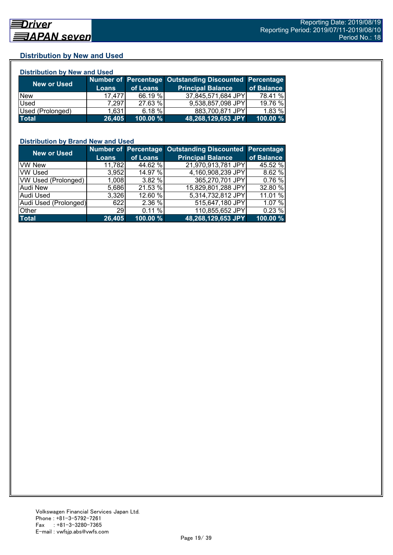## **Distribution by New and Used**

| <b>Distribution by New and Used</b> |              |          |                                                        |            |  |  |  |
|-------------------------------------|--------------|----------|--------------------------------------------------------|------------|--|--|--|
|                                     |              |          | Number of Percentage Outstanding Discounted Percentage |            |  |  |  |
| <b>New or Used</b>                  | <b>Loans</b> | of Loans | <b>Principal Balance</b>                               | of Balance |  |  |  |
| <b>New</b>                          | 17.477       | 66.19 %  | 37,845,571,684 JPY                                     | 78.41 %    |  |  |  |
| Used                                | 7.297        | 27.63 %  | 9,538,857,098 JPY                                      | 19.76 %    |  |  |  |
| Used (Prolonged)                    | 1,631        | 6.18%    | 883,700,871 JPY                                        | 1.83 %     |  |  |  |
| Total                               | 26,405       | 100.00 % | 48,268,129,653 JPY                                     | 100.00%    |  |  |  |

## **Distribution by Brand New and Used**

| <b>New or Used</b>    |              |          | Number of Percentage Outstanding Discounted Percentage |            |
|-----------------------|--------------|----------|--------------------------------------------------------|------------|
|                       | <b>Loans</b> | of Loans | <b>Principal Balance</b>                               | of Balance |
| <b>VW New</b>         | 11,782       | 44.62 %  | 21,970,913,781 JPY                                     | 45.52 %    |
| <b>VW Used</b>        | 3,952        | 14.97 %  | 4,160,908,239 JPY                                      | 8.62 %     |
| VW Used (Prolonged)   | 1,008        | 3.82 %   | 365,270,701 JPY                                        | 0.76%      |
| <b>Audi New</b>       | 5,686        | 21.53 %  | 15,829,801,288 JPY                                     | 32.80 %    |
| Audi Used             | 3.326        | 12.60 %  | 5,314,732,812 JPY                                      | 11.01 %    |
| Audi Used (Prolonged) | 622          | 2.36 %   | 515,647,180 JPY                                        | 1.07 %     |
| Other                 | <b>29</b>    | 0.11%    | 110,855,652 JPY                                        | 0.23%      |
| <b>Total</b>          | 26,405       | 100.00 % | 48,268,129,653 JPY                                     | 100.00 %   |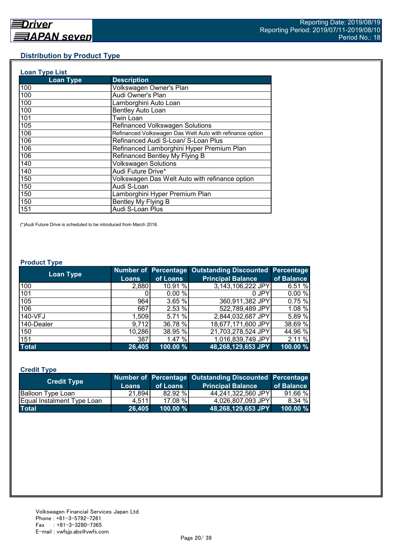## **Distribution by Product Type**

| <b>Loan Type List</b> |                                                           |
|-----------------------|-----------------------------------------------------------|
| <b>Loan Type</b>      | <b>Description</b>                                        |
| 100                   | Volkswagen Owner's Plan                                   |
| 100                   | Audi Owner's Plan                                         |
| 100                   | Lamborghini Auto Loan                                     |
| 100                   | <b>Bentley Auto Loan</b>                                  |
| 101                   | Twin Loan                                                 |
| 105                   | Refinanced Volkswagen Solutions                           |
| 106                   | Refinanced Volkswagen Das Welt Auto with refinance option |
| 106                   | Refinanced Audi S-Loan/ S-Loan Plus                       |
| 106                   | Refinanced Lamborghini Hyper Premium Plan                 |
| 106                   | Refinanced Bentley My Flying B                            |
| 140                   | <b>Volkswagen Solutions</b>                               |
| 140                   | Audi Future Drive*                                        |
| 150                   | Volkswagen Das Welt Auto with refinance option            |
| 150                   | Audi S-Loan                                               |
| 150                   | Lamborghini Hyper Premium Plan                            |
| 150                   | Bentley My Flying B                                       |
| 151                   | Audi S-Loan Plus                                          |

(\*)Audi Future Drive is scheduled to be introduced from March 2018.

#### **Product Type**

| <b>Loan Type</b> |              |          | Number of Percentage Outstanding Discounted Percentage |            |
|------------------|--------------|----------|--------------------------------------------------------|------------|
|                  | <b>Loans</b> | of Loans | <b>Principal Balance</b>                               | of Balance |
| 100              | 2,880        | 10.91 %  | 3,143,106,222 JPY                                      | 6.51%      |
| 101              |              | 0.00%    | 0 JPY                                                  | 0.00%      |
| 105              | 964          | 3.65 %   | 360,911,382 JPY                                        | 0.75%      |
| 106              | 667          | 2.53 %   | 522,789,489 JPY                                        | 1.08 %     |
| 140-VFJ          | 1,509        | 5.71%    | 2,844,032,687 JPY                                      | 5.89 %     |
| 140-Dealer       | 9,712        | 36.78 %  | 18,677,171,600 JPY                                     | 38.69 %    |
| 150              | 10,286       | 38.95 %  | 21,703,278,524 JPY                                     | 44.96 %    |
| 151              | 387          | 1.47 %   | 1,016,839,749 JPY                                      | 2.11 %     |
| <b>Total</b>     | 26,405       | 100.00 % | 48,268,129,653 JPY                                     | 100.00 %   |

## **Credit Type**

| <b>Credit Type</b>         |        |             | Number of Percentage Outstanding Discounted Percentage |            |
|----------------------------|--------|-------------|--------------------------------------------------------|------------|
|                            | Loans  | of Loans    | <b>Principal Balance</b>                               | of Balance |
| <b>Balloon Type Loan</b>   | 21,894 | 82.92 %     | 44,241,322,560 JPY                                     | 91.66 %    |
| Equal Instalment Type Loan | 4.511  | 17.08 %     | 4,026,807,093 JPY                                      | 8.34 %     |
| <b>Total</b>               | 26,405 | $100.00 \%$ | 48,268,129,653 JPY                                     | 100.00 %   |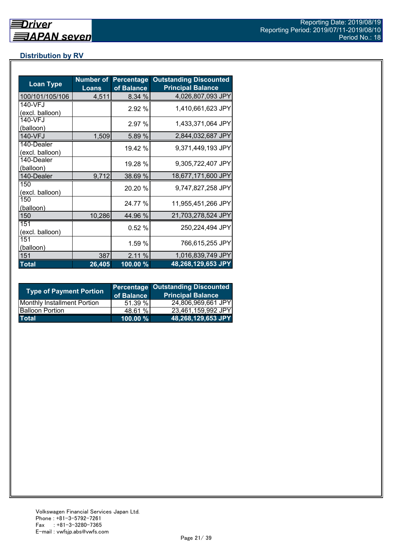## **Distribution by RV**

| <b>Loan Type</b>              | <b>Number of</b><br>Loans | <b>Percentage</b><br>of Balance | <b>Outstanding Discounted</b><br><b>Principal Balance</b> |
|-------------------------------|---------------------------|---------------------------------|-----------------------------------------------------------|
| 100/101/105/106               | 4,511                     | 8.34 %                          | 4,026,807,093 JPY                                         |
| 140-VFJ<br>(excl. balloon)    |                           | 2.92 %                          | 1,410,661,623 JPY                                         |
| 140-VFJ<br>(balloon)          |                           | 2.97 %                          | 1,433,371,064 JPY                                         |
| 140-VFJ                       | 1,509                     | 5.89 %                          | 2,844,032,687 JPY                                         |
| 140-Dealer<br>(excl. balloon) |                           | 19.42 %                         | 9,371,449,193 JPY                                         |
| 140-Dealer<br>(balloon)       |                           | 19.28 %                         | 9,305,722,407 JPY                                         |
| 140-Dealer                    | 9,712                     | 38.69 %                         | 18,677,171,600 JPY                                        |
| 150<br>(excl. balloon)        |                           | 20.20 %                         | 9,747,827,258 JPY                                         |
| 150<br>(balloon)              |                           | 24.77 %                         | 11,955,451,266 JPY                                        |
| 150                           | 10,286                    | 44.96 %                         | 21,703,278,524 JPY                                        |
| 151<br>(excl. balloon)        |                           | 0.52%                           | 250,224,494 JPY                                           |
| 151<br>(balloon)              |                           | 1.59 %                          | 766,615,255 JPY                                           |
| 151                           | 387                       | 2.11%                           | 1,016,839,749 JPY                                         |
| <b>Total</b>                  | 26,405                    | $100.00\%$                      | 48,268,129,653 JPY                                        |

| <b>Type of Payment Portion</b>     | of Balance | <b>Percentage Outstanding Discounted</b><br><b>Principal Balance</b> |
|------------------------------------|------------|----------------------------------------------------------------------|
| <b>Monthly Installment Portion</b> | 51.39%     | 24,806,969,661 JPY                                                   |
| <b>Balloon Portion</b>             | 48.61 %    | 23,461,159,992 JPY                                                   |
| <b>Total</b>                       | 100.00 %   | 48,268,129,653 JPY                                                   |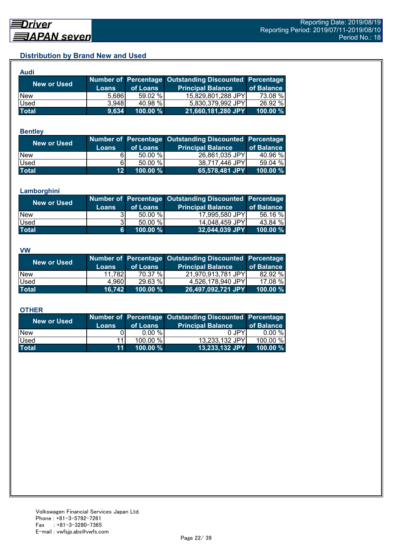## **Distribution by Brand New and Used**

| Audi               |       |             |                                                               |             |
|--------------------|-------|-------------|---------------------------------------------------------------|-------------|
| <b>New or Used</b> |       |             | <b>Number of Percentage Outstanding Discounted Percentage</b> |             |
|                    | Loans | of Loans    | <b>Principal Balance</b>                                      | of Balance  |
| <b>New</b>         | 5,686 | 59.02 %     | 15,829,801,288 JPY                                            | 73.08 %     |
| Used               | 3,948 | 40.98 %     | 5,830,379,992 JPY                                             | 26.92 %     |
| <b>Total</b>       | 9,634 | $100.00 \%$ | 21,660,181,280 JPY                                            | $100.00 \%$ |

#### **Bentley**

| New or Used  | <b>Loans</b>    | of Loans | Number of Percentage Outstanding Discounted Percentage<br><b>Principal Balance</b> | of Balance |
|--------------|-----------------|----------|------------------------------------------------------------------------------------|------------|
| <b>New</b>   |                 | 50.00 %  | 26,861,035 JPY                                                                     | 40.96 %    |
| Used         | 61              | 50.00 %  | 38,717,446 JPY                                                                     | 59.04 %    |
| <b>Total</b> | 12 <sup>1</sup> | 100.00 % | 65,578,481 JPY                                                                     | 100.00 $%$ |

#### **Lamborghini**

| New or Used  | <b>Loans</b> | of Loans    | Number of Percentage Outstanding Discounted Percentage<br><b>Principal Balance</b> | of Balance |
|--------------|--------------|-------------|------------------------------------------------------------------------------------|------------|
| <b>New</b>   |              | 50.00 %     | 17,995,580 JPY                                                                     | 56.16 %    |
| Used         |              | 50.00%      | 14,048,459 JPY                                                                     | 43.84 %    |
| <b>Total</b> | 61           | $100.00 \%$ | 32,044,039 JPY                                                                     | 100.00 %   |

#### **VW**

| <b>New or Used</b> |              |             | Number of Percentage Outstanding Discounted Percentage |            |
|--------------------|--------------|-------------|--------------------------------------------------------|------------|
|                    | <b>Loans</b> | of Loans    | <b>Principal Balance</b>                               | of Balance |
| <b>New</b>         | 11.782       | 70.37 %     | 21,970,913,781 JPY                                     | 82.92 %    |
| <b>Used</b>        | 4.960        | 29.63 %     | 4,526,178,940 JPY                                      | 17.08 %    |
| <b>Total</b>       | 16.742       | $100.00 \%$ | 26,497,092,721 JPY                                     | 100.00 %   |

#### **OTHER**

| <b>New or Used</b> | <b>Loans</b>    | of Loans  | Number of Percentage Outstanding Discounted Percentage<br><b>Principal Balance</b> | of Balance |
|--------------------|-----------------|-----------|------------------------------------------------------------------------------------|------------|
| <b>New</b>         |                 | $0.00 \%$ | 0 JPY                                                                              | $0.00 \%$  |
| Used               | 11              | 100.00 %  | 13,233,132 JPY                                                                     | 100.00 %   |
| <b>Total</b>       | 11 <sup>1</sup> | 100.00 %  | 13,233,132 JPY                                                                     | 100.00 $%$ |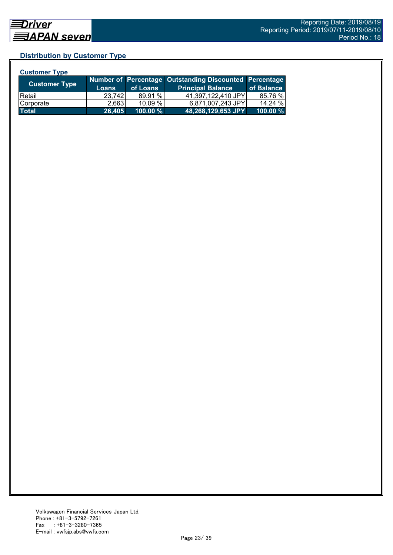## **Distribution by Customer Type**

| <b>Customer Type</b> |              |           |                                                        |            |
|----------------------|--------------|-----------|--------------------------------------------------------|------------|
| <b>Customer Type</b> |              |           | Number of Percentage Outstanding Discounted Percentage |            |
|                      | <b>Loans</b> | of Loans  | <b>Principal Balance</b>                               | of Balance |
| IRetail              | 23,742       | 89.91 %   | 41,397,122,410 JPY                                     | 85.76 %    |
| Corporate            | 2,663        | $10.09\%$ | 6,871,007,243 JPY                                      | 14.24 %    |
| <b>Total</b>         | 26,405       | 100.00 %  | 48,268,129,653 JPY                                     | 100.00 %   |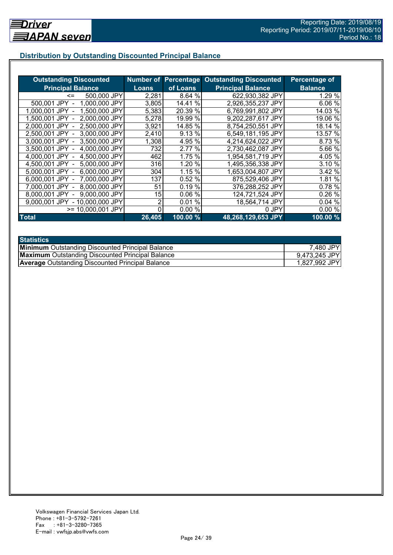## **Distribution by Outstanding Discounted Principal Balance**

| <b>Outstanding Discounted</b>     |              |           | <b>Number of Percentage Outstanding Discounted</b> | Percentage of  |
|-----------------------------------|--------------|-----------|----------------------------------------------------|----------------|
| <b>Principal Balance</b>          | <b>Loans</b> | of Loans  | <b>Principal Balance</b>                           | <b>Balance</b> |
| 500,000 JPY<br><=                 | 2,281        | 8.64 %    | 622,930,382 JPY                                    | 1.29%          |
| 1,000,000 JPY<br>500,001 JPY      | 3,805        | 14.41 %   | 2,926,355,237 JPY                                  | 6.06 %         |
| 1,500,000 JPY<br>1.000.001 JPY    | 5,383        | 20.39 %   | 6,769,991,802 JPY                                  | 14.03 %        |
| 2,000,000 JPY<br>1.500.001 JPY -  | 5,278        | 19.99 %   | 9,202,287,617 JPY                                  | 19.06 %        |
| 2,500,000 JPY<br>2.000.001 JPY -  | 3,921        | 14.85 %   | 8,754,250,551 JPY                                  | 18.14 %        |
| 3,000,000 JPY<br>2,500,001 JPY -  | 2,410        | 9.13 %    | 6,549,181,195 JPY                                  | 13.57 %        |
| 3,000,001 JPY -<br>3,500,000 JPY  | 1,308        | 4.95 %    | 4,214,624,022 JPY                                  | 8.73 %         |
| 3.500,001 JPY -<br>4,000,000 JPY  | 732          | 2.77 %    | 2,730,462,087 JPY                                  | 5.66 %         |
| 4,000,001 JPY -<br>4,500,000 JPY  | 462          | 1.75 %    | 1,954,581,719 JPY                                  | 4.05 %         |
| 4,500,001 JPY -<br>5,000,000 JPY  | 316          | 1.20 %    | 1,495,356,338 JPY                                  | 3.10 %         |
| 6,000,000 JPY<br>5,000,001 JPY -  | 304          | 1.15 %    | 1,653,004,807 JPY                                  | 3.42 %         |
| 7,000,000 JPY<br>6,000,001 JPY -  | 137          | 0.52%     | 875,529,406 JPY                                    | 1.81 %         |
| 8,000,000 JPY<br>7,000,001 JPY -  | 51           | 0.19%     | 376,288,252 JPY                                    | 0.78 %         |
| 9,000,000 JPY<br>8,000,001 JPY    | 15           | 0.06%     | 124,721,524 JPY                                    | 0.26%          |
| - 10,000,000 JPY<br>9.000.001 JPY | 2            | %<br>0.01 | 18,564,714 JPY                                     | 0.04%          |
| >= 10,000,001 JPY                 |              | 0.00%     | 0 JPY                                              | 0.00%          |
| <b>Total</b>                      | 26,405       | 100.00%   | 48,268,129,653 JPY                                 | 100.00%        |

| <b>Statistics</b>                                       |               |
|---------------------------------------------------------|---------------|
| <b>Minimum</b> Outstanding Discounted Principal Balance | 7,480 JPY     |
| <b>Maximum</b> Outstanding Discounted Principal Balance | 9,473,245 JPY |
| <b>Average</b> Outstanding Discounted Principal Balance | 1,827,992 JPY |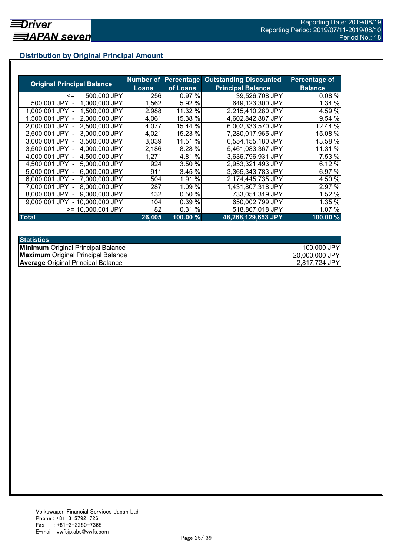## **Distribution by Original Principal Amount**

|                                   |        |           | <b>Number of Percentage Outstanding Discounted</b> | <b>Percentage of</b> |
|-----------------------------------|--------|-----------|----------------------------------------------------|----------------------|
| <b>Original Principal Balance</b> | Loans  | of Loans  | <b>Principal Balance</b>                           | <b>Balance</b>       |
| 500,000 JPY<br><=                 | 2561   | 0.97%     | 39,526,708 JPY                                     | 0.08%                |
| 1,000,000 JPY<br>500,001 JPY      | 1,562  | 5.92 %    | 649,123,300 JPY                                    | 1.34 %               |
| 1,500,000 JPY<br>1.000.001 JPY    | 2,988  | 11.32 %   | 2,215,410,280 JPY                                  | 4.59 %               |
| 2,000,000 JPY<br>1.500.001 JPY    | 4,061  | 15.38 %   | 4,602,842,887 JPY                                  | 9.54 %               |
| 2,500,000 JPY<br>2.000.001 JPY    | 4,077  | 15.44 %   | 6,002,333,570 JPY                                  | 12.44 %              |
| 3,000,000 JPY<br>2.500.001 JPY    | 4,021  | 15.23 %   | 7,280,017,965 JPY                                  | 15.08 %              |
| 3,000,001 JPY -<br>3,500,000 JPY  | 3,039  | 11.51 %   | 6,554,155,180 JPY                                  | 13.58 %              |
| 4,000,000 JPY<br>3,500,001 JPY    | 2,186  | 8.28 %    | 5,461,083,367 JPY                                  | 11.31 %              |
| 4,500,000 JPY<br>4,000,001 JPY    | 1,271  | 4.81%     | 3,636,796,931 JPY                                  | 7.53 %               |
| 5,000,000 JPY<br>4.500.001 JPY -  | 924    | 3.50 %    | 2,953,321,493 JPY                                  | 6.12%                |
| 6,000,000 JPY<br>5,000,001 JPY -  | 911    | 3.45%     | 3,365,343,783 JPY                                  | 6.97 %               |
| 7,000,000 JPY<br>6,000,001 JPY -  | 504    | %<br>1.91 | 2,174,445,735 JPY                                  | 4.50 %               |
| 8,000,000 JPY<br>7.000.001 JPY -  | 287    | 1.09 %    | 1,431,807,318 JPY                                  | 2.97 %               |
| 9.000.000 JPY<br>8.000.001 JPY    | 132    | 0.50 %    | 733,051,319 JPY                                    | 1.52 %               |
| - 10,000,000 JPY<br>9.000.001 JPY | 104    | 0.39 %    | 650,002,799 JPY                                    | 1.35 %               |
| $>= 10,000,001$ JPY               | 82     | 0.31%     | 518,867,018 JPY                                    | 1.07 %               |
| <b>Total</b>                      | 26,405 | 100.00 %  | 48,268,129,653 JPY                                 | 100.00%              |

| <b>Statistics</b>                         |                |
|-------------------------------------------|----------------|
| <b>Minimum</b> Original Principal Balance | 100,000 JPY    |
| <b>Maximum</b> Original Principal Balance | 20,000,000 JPY |
| <b>Average Original Principal Balance</b> | 2,817,724 JPY  |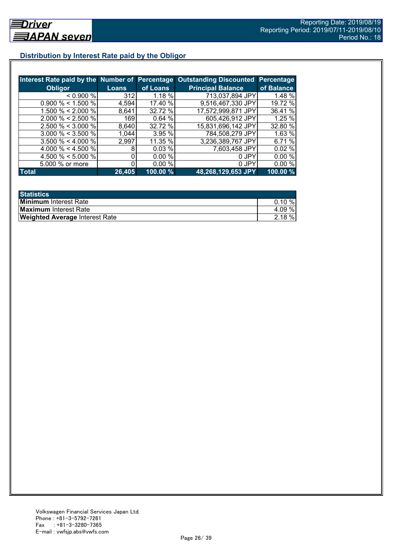## **Distribution by Interest Rate paid by the Obligor**

| Interest Rate paid by the Number of Percentage |        |           | <b>Outstanding Discounted Percentage</b> |            |
|------------------------------------------------|--------|-----------|------------------------------------------|------------|
| <b>Obligor</b>                                 | Loans  | of Loans  | <b>Principal Balance</b>                 | of Balance |
| $0.900\%$                                      | 312    | $1.18 \%$ | 713,037,894 JPY                          | 1.48 %     |
| $0.900\% < 1.500\%$                            | 4,594  | 17.40 %   | 9,516,467,330 JPY                        | 19.72 %    |
| 1.500 % < 2.000 %                              | 8,641  | 32.72 %   | 17,572,999,871 JPY                       | 36.41 %    |
| $2.000 \% < 2.500 \%$                          | 169    | 0.64%     | 605,426,912 JPY                          | 1.25 %     |
| $2.500 \% < 3.000 \%$                          | 8,640  | 32.72 %   | 15,831,696,142 JPY                       | 32.80 %    |
| $3.000 \% < 3.500 \%$                          | 1,044  | 3.95%     | 784,508,279 JPY                          | 1.63%      |
| $3.500 \% < 4.000 \%$                          | 2,997  | 11.35 %   | 3,236,389,767 JPY                        | 6.71 %     |
| 4.000 % < 4.500 %                              | 8      | 0.03%     | 7,603,458 JPY                            | 0.02%      |
| 4.500 % < 5.000 %                              | 0      | 0.00%     | 0 JPY                                    | 0.00%      |
| 5.000 % or more                                |        | 0.00%     | 0 JPY                                    | 0.00%      |
| Total                                          | 26,405 | 100.00%   | 48,268,129,653 JPY                       | 100.00 %   |

| <b>Statistics</b>                     |           |
|---------------------------------------|-----------|
| <b>Minimum</b> Interest Rate          | $0.10 \%$ |
| <b>Maximum</b> Interest Rate          | 4.09 %    |
| <b>Weighted Average Interest Rate</b> | $2.18 \%$ |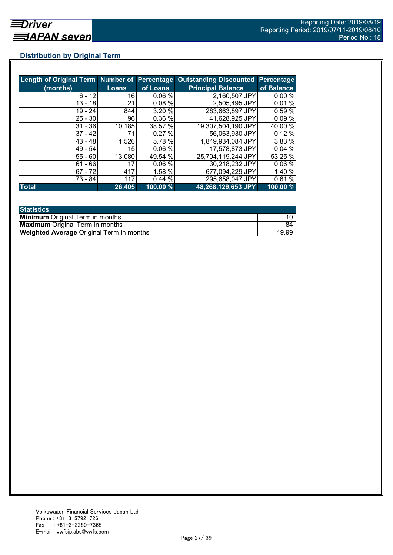## **Distribution by Original Term**

| Length of Original Term Number of Percentage |              |          | <b>Outstanding Discounted Percentage</b> |            |
|----------------------------------------------|--------------|----------|------------------------------------------|------------|
| (months)                                     | <b>Loans</b> | of Loans | <b>Principal Balance</b>                 | of Balance |
| $6 - 12$                                     | 16           | 0.06%    | 2,160,507 JPY                            | 0.00%      |
| $13 - 18$                                    | 21           | 0.08%    | 2,505,495 JPY                            | 0.01%      |
| $19 - 24$                                    | 844          | 3.20%    | 283,663,897 JPY                          | 0.59 %     |
| $25 - 30$                                    | 96           | 0.36 %   | 41,628,925 JPY                           | 0.09%      |
| $31 - 36$                                    | 10,185       | 38.57 %  | 19,307,504,190 JPY                       | 40.00 %    |
| $37 - 42$                                    | 71           | 0.27%    | 56,063,930 JPY                           | 0.12%      |
| $43 - 48$                                    | 1,526        | 5.78 %   | 1,849,934,084 JPY                        | 3.83 %     |
| $49 - 54$                                    | 15           | 0.06%    | 17,578,873 JPY                           | 0.04%      |
| $55 - 60$                                    | 13,080       | 49.54 %  | 25,704,119,244 JPY                       | 53.25 %    |
| $61 - 66$                                    | 17           | 0.06%    | 30,218,232 JPY                           | 0.06%      |
| $67 - 72$                                    | 417          | 1.58 %   | 677,094,229 JPY                          | 1.40%      |
| 73 - 84                                      | 117          | 0.44%    | 295,658,047 JPY                          | 0.61%      |
| <b>Total</b>                                 | 26,405       | 100.00 % | 48,268,129,653 JPY                       | 100.00 %   |

| <b>Statistics</b>                               |       |
|-------------------------------------------------|-------|
| <b>Minimum</b> Original Term in months          |       |
| <b>Maximum</b> Original Term in months          | 84    |
| <b>Weighted Average Original Term in months</b> | 49.99 |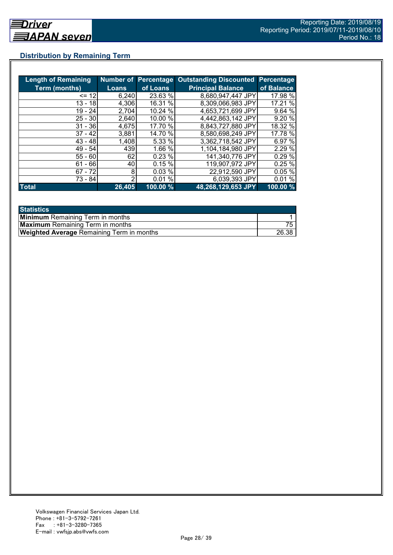## **Distribution by Remaining Term**

| <b>Length of Remaining</b> |              | <b>Number of Percentage</b> | <b>Outstanding Discounted</b> | <b>Percentage</b> |
|----------------------------|--------------|-----------------------------|-------------------------------|-------------------|
| <b>Term (months)</b>       | <b>Loans</b> | of Loans                    | <b>Principal Balance</b>      | of Balance        |
| $= 12$                     | 6,240        | 23.63 %                     | 8,680,947,447 JPY             | 17.98 %           |
| $13 - 18$                  | 4,306        | 16.31 %                     | 8.309,066,983 JPY             | 17.21 %           |
| $19 - 24$                  | 2,704        | 10.24 %                     | 4,653,721,699 JPY             | 9.64%             |
| $25 - 30$                  | 2,640        | 10.00 %                     | 4,442,863,142 JPY             | 9.20 %            |
| $31 - 36$                  | 4,675        | 17.70 %                     | 8.843,727,880 JPY             | 18.32 %           |
| $37 - 42$                  | 3,881        | 14.70 %                     | 8.580,698,249 JPY             | 17.78 %           |
| $43 - 48$                  | 1,408        | 5.33 %                      | 3,362,718,542 JPY             | 6.97 %            |
| 49 - 54                    | 439          | 1.66 %                      | 1,104,184,980 JPY             | 2.29 %            |
| $55 - 60$                  | 62           | 0.23%                       | 141,340,776 JPY               | 0.29%             |
| - 66<br>61                 | 40           | 0.15%                       | 119,907,972 JPY               | 0.25%             |
| $67 - 72$                  | 8            | 0.03%                       | 22,912,590 JPY                | 0.05%             |
| 73 - 84                    | っ            | 0.01%                       | 6,039,393 JPY                 | 0.01%             |
| <b>Total</b>               | 26,405       | 100.00 %                    | 48,268,129,653 JPY            | 100.00 %          |

| <b>Statistics</b>                                |       |
|--------------------------------------------------|-------|
| <b>Minimum</b> Remaining Term in months          |       |
| <b>Maximum</b> Remaining Term in months          |       |
| <b>Weighted Average Remaining Term in months</b> | 26.38 |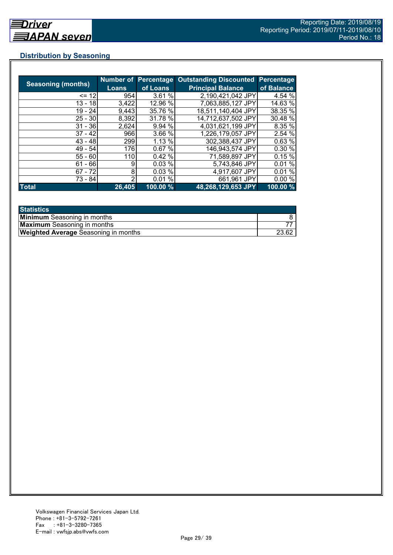## **Distribution by Seasoning**

|                           |        |          | Number of Percentage Outstanding Discounted | Percentage |
|---------------------------|--------|----------|---------------------------------------------|------------|
| <b>Seasoning (months)</b> | Loans  | of Loans | <b>Principal Balance</b>                    | of Balance |
| $= 12$                    | 954    | 3.61%    | 2,190,421,042 JPY                           | 4.54 %     |
| 13 - 18                   | 3,422  | 12.96 %  | 7,063,885,127 JPY                           | 14.63 %    |
| $19 - 24$                 | 9,443  | 35.76 %  | 18,511,140,404 JPY                          | 38.35 %    |
| $25 - 30$                 | 8,392  | 31.78 %  | 14,712,637,502 JPY                          | 30.48 %    |
| $31 - 36$                 | 2,624  | 9.94%    | 4,031,621,199 JPY                           | 8.35 %     |
| $37 - 42$                 | 966    | 3.66 %   | 1,226,179,057 JPY                           | 2.54 %     |
| $43 - 48$                 | 299    | 1.13 %   | 302,388,437 JPY                             | 0.63 %     |
| $49 - 54$                 | 176    | 0.67%    | 146,943,574 JPY                             | 0.30%      |
| $55 - 60$                 | 110    | 0.42%    | 71,589,897 JPY                              | 0.15%      |
| $61 - 66$                 | 9      | 0.03%    | 5,743,846 JPY                               | 0.01%      |
| $67 - 72$                 | 8      | 0.03%    | 4,917,607 JPY                               | 0.01%      |
| 73 - 84                   | っ      | 0.01%    | 661,961 JPY                                 | 0.00%      |
| <b>Total</b>              | 26,405 | 100.00 % | 48,268,129,653 JPY                          | 100.00 %   |

| <b>Statistics</b>                           |       |
|---------------------------------------------|-------|
| <b>Minimum</b> Seasoning in months          |       |
| <b>Maximum</b> Seasoning in months          |       |
| <b>Weighted Average</b> Seasoning in months | 23.62 |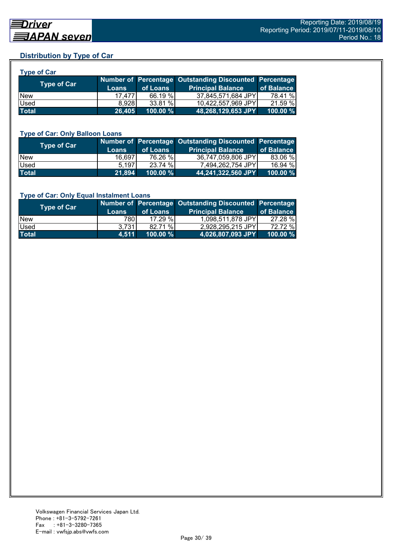## **Distribution by Type of Car**

| <b>Type of Car</b> |              |          |                                                        |            |
|--------------------|--------------|----------|--------------------------------------------------------|------------|
| Type of Car        |              |          | Number of Percentage Outstanding Discounted Percentage |            |
|                    | <b>Loans</b> | of Loans | <b>Principal Balance</b>                               | of Balance |
| <b>New</b>         | 17.477       | 66.19 %  | 37,845,571,684 JPY                                     | 78.41 %    |
| Used               | 8.928        | 33.81 %  | 10,422,557,969 JPY                                     | 21.59 %    |
| <b>Total</b>       | 26,405       | 100.00 % | 48,268,129,653 JPY                                     | 100.00 %   |

#### **Type of Car: Only Balloon Loans**

| Type of Car  | <b>Loans</b> | of Loans    | Number of Percentage Outstanding Discounted Percentage<br><b>Principal Balance</b> | of Balance  |
|--------------|--------------|-------------|------------------------------------------------------------------------------------|-------------|
| <b>New</b>   | 16,697       | 76.26 %     | 36.747.059.806 JPYL                                                                | 83.06 %     |
| <b>Used</b>  | 5.197        | 23.74 %     | 7.494.262.754 JPY                                                                  | 16.94 %     |
| <b>Total</b> | 21,894       | $100.00 \%$ | 44,241,322,560 JPY                                                                 | $100.00 \%$ |

#### **Type of Car: Only Equal Instalment Loans**

| <b>Type of Car</b> | <b>Loans</b> | of Loans    | Number of Percentage Outstanding Discounted Percentage<br><b>Principal Balance</b> | of Balance |
|--------------------|--------------|-------------|------------------------------------------------------------------------------------|------------|
| <b>New</b>         | 780I         | 17.29%      | 1,098,511,878 JPY                                                                  | 27.28 %    |
| <b>Used</b>        | 3.731        | 82.71 %     | 2,928,295,215 JPY                                                                  | 72.72 %    |
| <b>Total</b>       | 4.511        | $100.00 \%$ | $ 4,026,807,093$ JPY                                                               | 100.00 %   |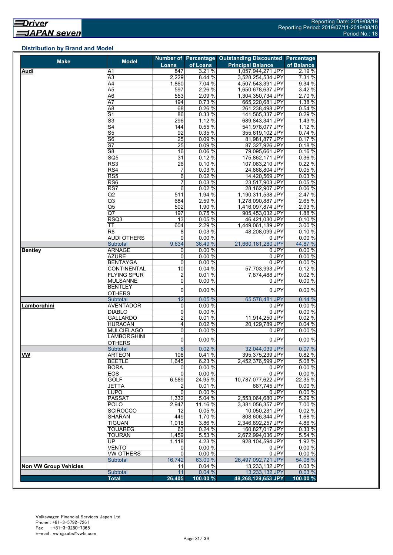## **Distribution by Brand and Model**

| <b>Make</b>                  | <b>Model</b>                      |                         |                | Number of Percentage Outstanding Discounted Percentage |                 |
|------------------------------|-----------------------------------|-------------------------|----------------|--------------------------------------------------------|-----------------|
|                              |                                   | <b>Loans</b>            | of Loans       | <b>Principal Balance</b>                               | of Balance      |
| Audi                         | Α1                                | 847                     | 3.21 %         | 1,057,944,271 JPY                                      | 2.19 %          |
|                              | A3                                | 2,229                   | 8.44 %         | 3,528,254,534 JPY                                      | 7.31%           |
|                              | A4                                | 1,860                   | 7.04%          | 4,507,543,391 JPY                                      | 9.34 %          |
|                              | A <sub>5</sub>                    | 597                     | 2.26 %         | 1,650,678,637 JPY                                      | 3.42 %          |
|                              | A <sub>6</sub>                    | 553                     | 2.09 %         | 1,304,350,734 JPY                                      | 2.70 %          |
|                              | $\overline{A7}$                   | 194                     | 0.73%          | 665,220,681 JPY                                        | 1.38 %          |
|                              | A <sub>8</sub><br>$\overline{S1}$ | 68<br>86                | 0.26%<br>0.33% | 261,238,498 JPY                                        | 0.54 %<br>0.29% |
|                              | $\overline{\mathsf{S}3}$          | 296                     | 1.12%          | 141,565,337 JPY                                        |                 |
|                              | $\overline{\mathsf{S}4}$          | 144                     | 0.55%          | 689,843,341 JPY<br>541,978,077 JPY                     | 1.43 %<br>1.12% |
|                              | $\overline{\text{S5}}$            | 92                      | 0.35%          | 355,619,102 JPY                                        | 0.74 %          |
|                              | $\overline{\mathsf{S6}}$          | $\overline{25}$         | 0.09%          | 81.981.877 JPY                                         | 0.17%           |
|                              | $\overline{\mathsf{S}7}$          | 25                      | 0.09%          | 87,327,926 JPY                                         | 0.18%           |
|                              | S <sub>8</sub>                    | 16                      | 0.06%          | 79,095,661 JPY                                         | 0.16%           |
|                              | SQ5                               | 31                      | 0.12%          | 175,862,171 JPY                                        | 0.36 %          |
|                              | RS <sub>3</sub>                   | $\overline{26}$         | 0.10%          | 107,063,210 JPY                                        | 0.22%           |
|                              | RS4                               | 7                       | 0.03%          | 24,868,804 JPY                                         | 0.05%           |
|                              | $\overline{\text{RS5}}$           | 6                       | 0.02%          | 14,420,569 JPY                                         | 0.03%           |
|                              | RS <sub>6</sub>                   | $\overline{7}$          | 0.03%          | 23,517,903 JPY                                         | 0.05%           |
|                              | $\overline{\text{RS}7}$           | 6                       | 0.02%          | 28,162,907 JPY                                         | 0.06 %          |
|                              | Q2                                | 511                     | 1.94 %         | 1,190,311,538 JPY                                      | 2.47 %          |
|                              | Q3                                | 684                     | 2.59 %         | 1,278,090,887 JPY                                      | 2.65 %          |
|                              | Q5                                | 502                     | 1.90 %         | 1,416,097,874 JPY                                      | 2.93 %          |
|                              | Q7                                | 197                     | 0.75%          | 905,453,032 JPY                                        | 1.88 %          |
|                              | RSQ3                              | 13                      | 0.05 %         | 46,421,030 JPY                                         | 0.10%           |
|                              | ТT                                | 604                     | 2.29 %         | 1,449,061,189 JPY                                      | 3.00 %          |
|                              | R <sub>8</sub>                    | 8                       | 0.03%          | 48,208,099 JPY                                         | 0.10%           |
|                              | <b>AUDI OTHERS</b>                | 0                       | 0.00%          | 0 JPY                                                  | 0.00%           |
|                              | Subtotal                          | 9,634                   | 36.49 %        | 21,660,181,280 JPY                                     | 44.87 %         |
| <b>Bentley</b>               | <b>ARNAGE</b>                     | 0                       | 0.00%          | 0 JPY                                                  | 0.00%           |
|                              | <b>AZURE</b>                      | 0                       | 0.00%          | 0 JPY                                                  | 0.00%           |
|                              | <b>BENTAYGA</b>                   | 0                       | 0.00%          | 0 JPY                                                  | 0.00%           |
|                              | <b>CONTINENTAL</b>                | 10                      | 0.04%          | 57,703,993 JPY                                         | 0.12%           |
|                              | <b>FLYING SPUR</b>                | $\overline{\mathbf{c}}$ | 0.01%          | 7,874,488 JPY                                          | 0.02%           |
|                              | <b>MULSANNE</b>                   | 0                       | 0.00%          | 0 JPY                                                  | 0.00%           |
|                              | <b>BENTLEY</b>                    | 0                       | 0.00 %         | 0 JPY                                                  | 0.00%           |
|                              | <b>OTHERS</b>                     |                         |                |                                                        |                 |
|                              | Subtotal                          | 12                      | 0.05%          | 65,578,481 JPY                                         | 0.14%           |
| Lamborghini                  | <b>AVENTADOR</b><br><b>DIABLO</b> | 0<br>0                  | 0.00%<br>0.00% | 0 JPY<br>0 JPY                                         | 0.00%<br>0.00%  |
|                              | <b>GALLARDO</b>                   | $\overline{2}$          | 0.01%          | 11,914,250 JPY                                         | 0.02%           |
|                              | <b>HURACÁN</b>                    | 4                       | 0.02%          | 20,129,789 JPY                                         | 0.04%           |
|                              | <b>MULCIELAGO</b>                 | 0                       | 0.00%          | 0 JPY                                                  | 0.00%           |
|                              | <b>LAMBORGHINI</b>                |                         |                |                                                        |                 |
|                              | <b>OTHERS</b>                     | 0                       | 0.00%          | 0 JPY                                                  | 0.00%           |
|                              | Subtotal                          | $6 \overline{6}$        | 0.02%          | 32,044,039 JPY                                         | 0.07%           |
| <b>VW</b>                    | ARTEON                            | 108                     | 0.41%          | 395,375,239 JPY                                        | 0.82%           |
|                              | <b>BEETLE</b>                     | 1,645                   | 6.23 %         | 2,452,376,599 JPY                                      | 5.08 %          |
|                              | <b>BORA</b>                       | 0                       | 0.00%          | 0 JPY                                                  | 0.00 %          |
|                              | EOS                               | $\mathbf 0$             | 0.00%          | 0 JPY                                                  | 0.00%           |
|                              | <b>GOLF</b>                       | 6,589                   | 24.95 %        | 10.787.077.622 JPY                                     | 22.35 %         |
|                              | JETTA                             | 2                       | 0.01%          | 667,745 JPY                                            | 0.00%           |
|                              | LUPO                              | 0                       | 0.00%          | 0 JPY                                                  | 0.00%           |
|                              | <b>PASSAT</b>                     | 1,332                   | 5.04 %         | 2,553,064,680 JPY                                      | 5.29 %          |
|                              | <b>POLO</b>                       | 2,947                   | 11.16 %        | 3,381,056,357 JPY                                      | 7.00 %          |
|                              | <b>SCIROCCO</b>                   | 12                      | 0.05%          | 10,050,231 JPY                                         | 0.02%           |
|                              | <b>SHARAN</b>                     | 449                     | 1.70 %         | 808,606,344 JPY                                        | 1.68 %          |
|                              | <b>TIGUAN</b>                     | 1,018                   | 3.86 %         | 2,346,892,257 JPY                                      | 4.86%           |
|                              | <b>TOUAREG</b>                    | 63                      | 0.24 %         | 160,827,017 JPY                                        | 0.33 %          |
|                              | <b>TOURAN</b>                     | 1,459                   | 5.53 %         | 2,672,994,036 JPY                                      | 5.54 %          |
|                              | UP                                | 1,118                   | 4.23 %         | 928,104,594 JPY                                        | 1.92 %          |
|                              | <b>VENTO</b>                      | 0                       | 0.00 %         | 0 JPY                                                  | 0.00%           |
|                              | <b>VW OTHERS</b>                  | $\overline{0}$          | 0.00%          | 0 JPY                                                  | 0.00%           |
|                              | <b>Subtotal</b>                   | 16,742                  | 63.00 %        | 26,497,092,721 JPY                                     | 54.08 %         |
| <b>Non VW Group Vehicles</b> |                                   | 11                      | 0.04%          | 13,233,132 JPY                                         | 0.03%           |
|                              | Subtotal                          | 11                      | 0.04%          | 13,233,132 JPY                                         | 0.03%           |
|                              | <b>Total</b>                      | 26,405                  | $100.00\%$     | 48,268,129,653 JPY                                     | 100.00 %        |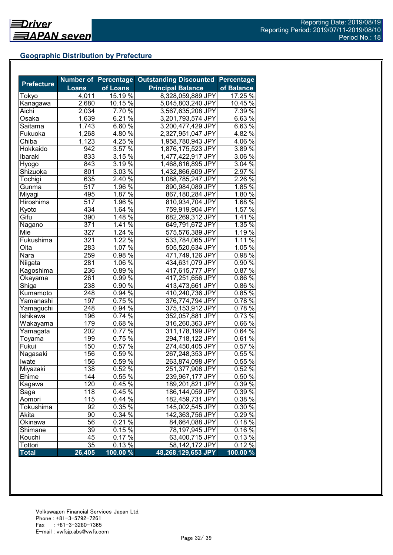## **Geographic Distribution by Prefecture**

| <b>Prefecture</b> |              | <b>Number of Percentage</b> | <b>Outstanding Discounted</b> | <b>Percentage</b> |
|-------------------|--------------|-----------------------------|-------------------------------|-------------------|
|                   | <b>Loans</b> | of Loans                    | <b>Principal Balance</b>      | of Balance        |
| Tokyo             | 4,011        | 15.19 %                     | 8,328,059,889 JPY             | 17.25%            |
| Kanagawa          | 2,680        | 10.15 %                     | 5,045,803,240 JPY             | 10.45 %           |
| Aichi             | 2,034        | 7.70 %                      | 3,567,635,208 JPY             | 7.39 %            |
| Osaka             | 1,639        | 6.21 $\sqrt{8}$             | 3,201,793,574 JPY             | $6.63\%$          |
| Saitama           | 1,743        | $6.60\%$                    | 3,200,477,429 JPY             | $6.63\%$          |
| Fukuoka           | 1,268        | 4.80 $\sqrt{2}$             | 2,327,951,047 JPY             | 4.82 $\sqrt{8}$   |
| Chiba             | 1,123        | $4.25\%$                    | 1,958,780,943 JPY             | 4.06 $\sqrt{6}$   |
| Hokkaido          | 942          | 3.57%                       | 1,876,175,523 JPY             | 3.89%             |
| Ibaraki           | 833          | 3.15%                       | 1,477,422,917 JPY             | 3.06 %            |
| Hyogo             | 843          | $3.19\%$                    | 1,468,816,895 JPY             | $3.04\%$          |
| Shizuoka          | 801          | 3.03%                       | 1,432,866,609 JPY             | 2.97%             |
| Tochigi           | 635          | 2.40%                       | 1,088,785,247 JPY             | 2.26%             |
| Gunma             | 517          | 1.96%                       | 890,984,089 JPY               | 1.85%             |
| Miyagi            | 495          | $1.87\%$                    | 867,180,284 JPY               | 1.80%             |
| Hiroshima         | 517          | $1.96\%$                    | 810,934,704 JPY               | $1.68\%$          |
| Kyoto             | 434          | 1.64%                       | 759,919,904 JPY               | 1.57%             |
| Gifu              | 390          | 1.48 $\sqrt{8}$             | 682,269,312 JPY               | $1.41\%$          |
| Nagano            | 371          | 1.41 $\sqrt{2}$             | 649,791,672 JPY               | 1.35 %            |
| Mie               | 327          | 1.24 $\frac{2}{6}$          | 575,576,389 JPY               | 1.19 %            |
| Fukushima         | 321          | 1.22%                       | 533,784,065 JPY               | 1.11 %            |
| Oita              | 283          | 1.07%                       | 505,520,634 JPY               | 1.05 %            |
| Nara              | 259          | $0.98\%$                    | 471,749,126 JPY               | 0.98%             |
| Niigata           | 281          | $1.06\%$                    | 434,631,079 JPY               | 0.90%             |
| Kagoshima         | 236          | 0.89%                       | 417,615,777 JPY               | 0.87%             |
| Okayama           | 261          | $0.99\%$                    | 417,251,656 JPY               | 0.86%             |
| Shiga             | 238          | 0.90%                       | 413,473,661 JPY               | 0.86%             |
| Kumamoto          | 248          | $0.94\%$                    | 410,240,736 JPY               | 0.85%             |
| Yamanashi         | 197          | $0.75\%$                    | 376,774,794 JPY               | 0.78%             |
| Yamaguchi         | 248          | 0.94 %                      | 375,153,912 JPY               | $0.78\%$          |
| Ishikawa          | 196          | $0.74\%$                    | 352,057,881 JPY               | 0.73 %            |
| Wakayama          | 179          | $0.68\sqrt{6}$              | 316,260,363 JPY               | $0.66\%$          |
| Yamagata          | 202          | $0.77\%$                    | 311,178,199 JPY               | 0.64 %            |
| Toyama            | 199          | $0.75\%$                    | 294,718,122 JPY               | $0.61\%$          |
| Fukui             | 150          | 0.57%                       | 274,450,405 JPY               | $0.57\%$          |
| Nagasaki          | 156          | 0.59%                       | 267,248,353 JPY               | 0.55%             |
| Iwate             | 156          | 0.59%                       | 263,874,098 JPY               | 0.55%             |
| Miyazaki          | 138          | 0.52%                       | 251,377,908 JPY               | 0.52%             |
| Ehime             | 144          | 0.55 %                      | 239,967,177 JPY               | 0.50 %            |
| Kagawa            | 120          | $0.45\%$                    | 189,201,821 JPY               | 0.39 %            |
| Saga              | 118          | 0.45 %                      | 186,144,059 JPY               | 0.39 %            |
| Aomori            | 115          | 0.44%                       | 182,459,731 JPY               | 0.38 %            |
| Tokushima         | 92           | 0.35%                       | 145,002,545 JPY               | 0.30 %            |
|                   |              | 0.34 %                      |                               | 0.29%             |
| Akita<br>Okinawa  | 90<br>56     | $0.21\%$                    | 142,363,756 JPY               | 0.18%             |
| Shimane           | 39           | $0.15\,\sqrt{2}$            | 84,664,088 JPY                | 0.16%             |
|                   |              | $0.17\%$                    | 78,197,945 JPY                |                   |
| Kouchi            | 45<br>35     |                             | 63,400,715 JPY                | 0.13%             |
| Tottori           |              | 0.13%                       | 58,142,172 JPY                | 0.12%             |
| <b>Total</b>      | 26,405       | 100.00 %                    | 48,268,129,653 JPY            | $100.00\%$        |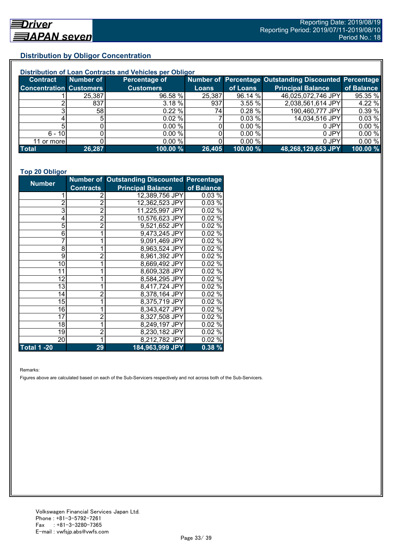## **Distribution by Obligor Concentration**

| Distribution of Loan Contracts and Vehicles per Obligor |           |                  |        |          |                                                        |            |  |
|---------------------------------------------------------|-----------|------------------|--------|----------|--------------------------------------------------------|------------|--|
| <b>Contract</b>                                         | Number of | Percentage of    |        |          | Number of Percentage Outstanding Discounted Percentage |            |  |
| <b>Concentration Customers</b>                          |           | <b>Customers</b> | Loans  | of Loans | <b>Principal Balance</b>                               | of Balance |  |
|                                                         | 25,387    | 96.58 %          | 25,387 | 96.14 %  | 46,025,072,746 JPY                                     | 95.35 %    |  |
|                                                         | 837       | 3.18 %           | 937    | 3.55 %   | 2,038,561,614 JPY                                      | 4.22 %     |  |
|                                                         | 58I       | $0.22 \%$        | 74I    | 0.28%    | 190,460,777 JPY                                        | 0.39 %     |  |
|                                                         |           | 0.02%            |        | 0.03%    | 14,034,516 JPY                                         | 0.03%      |  |
|                                                         |           | 0.00%            |        | 0.00 %   | 0 JPY                                                  | 0.00%      |  |
| $6 - 10$                                                |           | 0.00 %           |        | 0.00%    | 0 JPY                                                  | 0.00%      |  |
| 11 or morel                                             |           | 0.00 %           |        | 0.00 %   | 0 JPY                                                  | 0.00%      |  |
| <b>Total</b>                                            | 26,287    | 100.00 %         | 26,405 | 100.00 % | 48,268,129,653 JPY                                     | 100.00 %   |  |

#### **Top 20 Obligor**

| <b>Number</b>      |                  | Number of Outstanding Discounted Percentage |            |
|--------------------|------------------|---------------------------------------------|------------|
|                    | <b>Contracts</b> | <b>Principal Balance</b>                    | of Balance |
|                    | 2                | 12,389,756 JPY                              | 0.03%      |
| $\overline{2}$     | $\overline{c}$   | 12,362,523 JPY                              | 0.03%      |
| 3                  | $\overline{2}$   | 11,225,997 JPY                              | 0.02%      |
| 4                  | $\overline{2}$   | 10,576,623 JPY                              | 0.02%      |
| 5                  | $\overline{2}$   | 9,521,652 JPY                               | 0.02%      |
| 6                  | 1                | 9,473,245 JPY                               | 0.02%      |
| 7                  |                  | 9,091,469 JPY                               | 0.02%      |
| 8                  |                  | 8,963,524 JPY                               | 0.02%      |
| 9                  | 2                | 8,961,392 JPY                               | 0.02%      |
| 10                 | 1                | 8,669,492 JPY                               | 0.02%      |
| 11                 | 1                | 8,609,328 JPY                               | 0.02%      |
| 12                 |                  | 8,584,295 JPY                               | 0.02%      |
| 13                 |                  | 8,417,724 JPY                               | 0.02%      |
| 14                 | 2                | 8,378,164 JPY                               | 0.02%      |
| 15                 | 1                | 8,375,719 JPY                               | 0.02%      |
| 16                 | 1                | 8,343,427 JPY                               | 0.02%      |
| 17                 | 2                | 8,327,508 JPY                               | 0.02%      |
| 18                 |                  | 8,249,197 JPY                               | 0.02%      |
| 19                 | $\overline{2}$   | 8,230,182 JPY                               | 0.02%      |
| 20                 | 1                | 8,212,782 JPY                               | 0.02%      |
| <b>Total 1 -20</b> | 29               | 184,963,999 JPY                             | 0.38%      |

Remarks:

Figures above are calculated based on each of the Sub-Servicers respectively and not across both of the Sub-Servicers.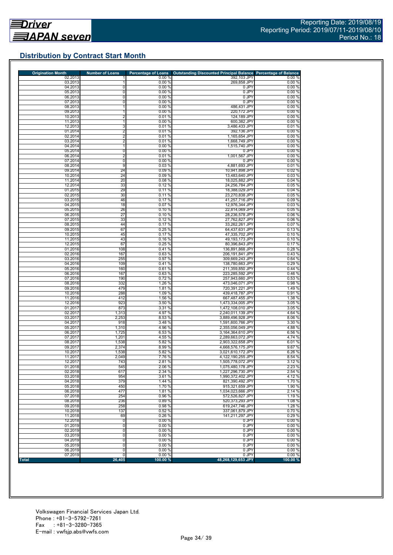## **Distribution by Contract Start Month**

| <b>Origination Month</b> | <b>Number of Loans</b> | <b>Percentage of Loans</b> | Outstanding Discounted Principal Balance Percentage of Balance |                  |
|--------------------------|------------------------|----------------------------|----------------------------------------------------------------|------------------|
| 02.2013                  |                        | 0.00%                      | 392,103 JPY                                                    | 0.00%            |
| 03.2013                  |                        | 0.00%                      | 269,858 JPY                                                    | 0.00%            |
| 04.2013                  | $\mathbf 0$            | 0.00%                      | 0 JPY<br>0 JPY                                                 | 0.00%            |
| 05.2013<br>06.2013       | 0<br>0                 | 0.00%<br>0.00%             | 0 JPY                                                          | 0.00%<br>0.00%   |
| 07.2013                  | $\overline{0}$         | 0.00%                      | 0 JPY                                                          | 0.00%            |
| 08.2013                  | 1                      | 0.00%                      | 486,431 JPY                                                    | 0.00%            |
| 09.2013                  | 1                      | 0.00%                      | 220,172 JPY                                                    | 0.00%            |
| 10.2013                  | $\overline{2}$         | 0.01%                      | 124,189 JPY                                                    | 0.00%            |
| 11.2013                  | $\mathbf{1}$           | 0.00%                      | 600,382 JPY                                                    | 0.00%            |
| 12.2013                  | 3                      | 0.01%                      | 3,486,433 JPY                                                  | 0.01%            |
| 01.2014                  | $\overline{2}$         | 0.01%                      | 392,136 JPY                                                    | 0.00%            |
| 02.2014                  | $\overline{2}$         | 0.01%                      | 1,165,654 JPY                                                  | 0.00%            |
| 03.2014                  | $\overline{2}$         | 0.01%                      | 1,668,749 JPY                                                  | 0.00%            |
| 04.2014                  | 1                      | 0.00%                      | 1,515,740 JPY                                                  | 0.00%            |
| 05.2014                  | 0                      | 0.00%                      | 0 JPY                                                          | 0.00%            |
| 06.2014                  | $\overline{2}$         | 0.01%                      | 1,001,567 JPY                                                  | 0.00%            |
| 07.2014                  | 0                      | 0.00%                      | 0 JPY                                                          | 0.00%            |
| 08.2014                  | 9                      | 0.03%                      | 4,881,693 JPY                                                  | 0.01%            |
| 09.2014                  | 24                     | 0.09%                      | 10,941,898 JPY                                                 | 0.02%            |
| 10.2014                  | 24                     | 0.09%                      | 13,483,640 JPY                                                 | 0.03%            |
| 11.2014                  | 20                     | 0.08%                      | 18,025,882 JPY                                                 | 0.04%            |
| 12.2014                  | 33                     | 0.12%                      | 24,256,784 JPY                                                 | 0.05 %           |
| 01.2015                  | 29                     | 0.11%                      | 18,388,029 JPY                                                 | 0.04%            |
| 02.2015                  | 30                     | 0.11%                      | 23,270,838 JPY                                                 | 0.05%            |
| 03.2015                  | 46                     | 0.17%                      | 41,257,716 JPY                                                 | 0.09%            |
| 04.2015                  | 18                     | 0.07%                      | 12,976,344 JPY                                                 | 0.03%            |
| 05.2015                  | 26                     | 0.10%                      | 22,814,069 JPY                                                 | 0.05%            |
| 06.2015                  | 27                     | 0.10%                      | 28,236,578 JPY                                                 | 0.06%            |
| 07.2015                  | 33                     | 0.12%                      | 27,762,827 JPY                                                 | 0.06%            |
| 08.2015                  | 44                     | 0.17%                      | 33,262,261 JPY                                                 | 0.07%            |
| 09.2015                  | 67                     | 0.25%                      | 64,437,631 JPY                                                 | 0.13%            |
| 10.2015                  | 45                     | 0.17%                      | 47,335,702 JPY                                                 | 0.10%            |
| 11.2015                  | 43                     | 0.16%                      | 49,193,173 JPY                                                 | 0.10%            |
| 12.2015                  | 67                     | 0.25%                      | 80,396,843 JPY                                                 | 0.17%            |
| 01.2016                  | 108                    | 0.41%                      | 136,891,868 JPY                                                | 0.28%            |
| 02.2016                  | 167                    | 0.63%                      | 206,191,841 JPY                                                | 0.43%            |
| 03.2016                  | 255                    | 0.97%                      | 309,669,243 JPY                                                | 0.64%            |
| 04.2016                  | 109                    | 0.41%                      | 138,780,663 JPY                                                | 0.29%            |
| 05.2016                  | 160                    | 0.61%                      | 211,359,850 JPY                                                | 0.44%            |
| 06.2016                  | 167                    | 0.63%                      | 223,285,592 JPY                                                | 0.46%            |
| 07.2016                  | 190                    | 0.72%                      | 257,943,660 JPY                                                | 0.53%            |
| 08.2016                  | 332                    | 1.26 %                     | 473,046,071 JPY                                                | 0.98%            |
| 09.2016                  | 479                    | 1.81 %                     | 720,391,221 JPY                                                | 1.49%            |
| 10.2016                  | 288                    | 1.09 %                     | 439,418,787 JPY                                                | 0.91%            |
| 11.2016                  | 412                    | 1.56 %                     | 667,487,455 JPY                                                | 1.38%            |
| 12.2016                  | 923                    | 3.50 %                     | 1,473,334,005 JPY                                              | 3.05%            |
| 01.2017                  | 873                    | 3.31 %                     | 1,472,108,010 JPY                                              | 3.05 %           |
| 02.2017                  | 1,313                  | 4.97 %                     | 2,240,011,139 JPY                                              | 4.64 %           |
| 03.2017                  | 2,253                  | 8.53 %                     | 3,889,496,928 JPY                                              | 8.06 %           |
| 04.2017                  | 918                    | 3.48 %                     | 1,591,600,766 JPY                                              | 3.30 %           |
| 05.2017                  | 1,310                  | 4.96 %                     | 2,355,056,049 JPY                                              | 4.88%            |
| 06.2017                  | 1,725                  | 6.53 %                     | 3,164,364,610 JPY                                              | 6.56 %           |
| 07.2017                  | 1,201                  | 4.55 %                     | 2,289,663,072 JPY                                              | 4.74 %           |
| 08.2017                  | 1,538                  | 5.82 %                     | 2,903,322,658 JPY                                              | 6.01%            |
| 09.2017                  | 2,374                  | 8.99 %                     | 4,668,576,175 JPY                                              | 9.67 %           |
| 10.2017                  | 1,538<br>2,049         | 5.82 %<br>7.76 %           | 3,021,610,172 JPY                                              | 6.26 %<br>8.54 % |
| 11.2017<br>12.2017       | 743                    | 2.81 %                     | 4,122,190,255 JPY<br>1,505,778,072 JPY                         | 3.12%            |
|                          |                        |                            |                                                                |                  |
| 01.2018<br>02.2018       | 545<br>617             | 2.06%<br>2.34 %            | 1,075,480,178 JPY<br>1.227.296.730 JPY                         | 2.23 %<br>2.54 % |
| 03.2018                  | 954                    | 3.61%                      | 1,990,372,402 JPY                                              | 4.12%            |
| 04.2018                  | 379                    | 1.44 %                     | 821,390,492 JPY                                                | 1.70 %           |
| 05.2018                  | 450                    | 1.70 %                     | 915,321,659 JPY                                                | 1.90 %           |
| 06.2018                  | 477                    | 1.81%                      | 1,034,023,666 JPY                                              | 2.14%            |
| 07.2018                  | 254                    | 0.96%                      | 572,526,827 JPY                                                | 1.19 %           |
| 08.2018                  | 236                    | 0.89%                      | 520.373.293 JPY                                                | 1.08%            |
| 09.2018                  | 258                    | 0.98 %                     | 619,247,746 JPY                                                | 1.28 %           |
| 10.2018                  | 137                    | 0.52%                      | 337,061,879 JPY                                                | 0.70%            |
| 11.2018                  | 69                     | 0.26 %                     | 141,211,297 JPY                                                | 0.29%            |
| 12.2018                  | $\overline{0}$         | 0.00%                      | 0 JPY                                                          | 0.00%            |
| 01.2019                  | 0                      | 0.00%                      | 0 JPY                                                          | 0.00%            |
| 02.2019                  | 0                      | 0.00%                      | 0 JPY                                                          | 0.00%            |
| 03.2019                  | 0                      | 0.00%                      | 0 JPY                                                          | 0.00%            |
| 04.2019                  | $\overline{0}$         | 0.00%                      | 0 JPY                                                          | 0.00%            |
| 05.2019                  | 0                      | 0.00%                      | 0 JPY                                                          | 0.00%            |
| 06.2019                  | $\overline{0}$         | 0.00%                      | 0 JPY                                                          | 0.00%            |
|                          | 0                      | 0.00%                      | 0 JPY                                                          | 0.00%            |
| 07.2019                  |                        |                            |                                                                |                  |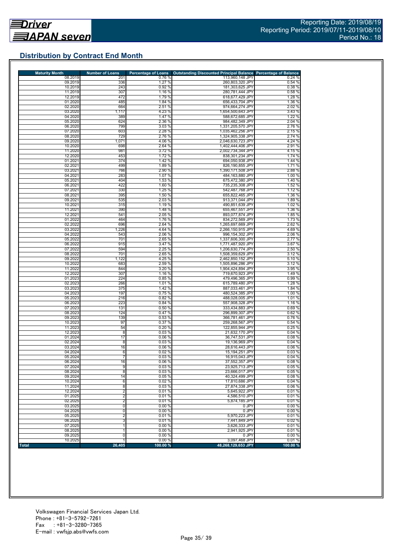## **Distribution by Contract End Month**

| <b>Maturity Month</b> | <b>Number of Loans</b> | <b>Percentage of Loans</b> | Outstanding Discounted Principal Balance Percentage of Balance |                  |
|-----------------------|------------------------|----------------------------|----------------------------------------------------------------|------------------|
| 08.2019               | 201                    | 0.76%                      | 113,960,148 JPY                                                | 0.24%            |
| 09.2019               | 336                    | 1.27 %                     | 260,803,320 JPY                                                | 0.54%            |
| 10.2019               | 243                    | 0.92 %                     | 181,303,625 JPY                                                | 0.38%            |
| 11.2019               | 307                    | 1.16 %                     | 280,781,444 JPY                                                | 0.58%            |
| 12.2019               | 472                    | 1.79 %                     | 618,677,429 JPY                                                | 1.28 %           |
| 01.2020<br>02.2020    | 485                    | 1.84 %                     | 656,433,704 JPY                                                | 1.36 %           |
| 03.2020               | 664<br>1,117           | 2.51 %<br>4.23 %           | 974,664,274 JPY<br>1,654,500,643 JPY                           | 2.02%<br>3.43 %  |
| 04.2020               | 389                    | 1.47 %                     | 588.672.685 JPY                                                | 1.22 %           |
| 05.2020               | 624                    | 2.36 %                     | 984,482,349 JPY                                                | 2.04 %           |
| 06.2020               | 799                    | 3.03 %                     | 1,331,205,570 JPY                                              | 2.76%            |
| 07.2020               | 603                    | 2.28 %                     | 1,035,462,256 JPY                                              | 2.15 %           |
| 08.2020               | 729                    | 2.76 %                     | 1,324,905,338 JPY                                              | 2.74 %           |
| 09.2020               | 1,071                  | 4.06 %                     | 2,046,630,723 JPY                                              | 4.24 %           |
| 10.2020               | 698                    | 2.64 %                     | 1,402,444,406 JPY                                              | 2.91%            |
| 11.2020               | 981                    | 3.72 %                     | 2,002,734,344 JPY                                              | 4.15%            |
| 12.2020               | 453                    | 1.72 %                     | 838,301,234 JPY                                                | 1.74 %           |
| 01.2021               | 374                    | 1.42 %                     | 694,050,938 JPY                                                | 1.44 %           |
| 02.2021               | 499                    | 1.89 %                     | 826,190,855 JPY                                                | 1.71%            |
| 03.2021               | 766                    | 2.90 %                     | 1,390,171,508 JPY                                              | 2.88%            |
| 04.2021               | 283                    | 1.07 %                     | 484,163,880 JPY                                                | 1.00 %           |
| 05.2021               | 404                    | 1.53 %                     | 675,472,380 JPY                                                | 1.40 %           |
| 06.2021               | 422                    | 1.60 %                     | 735,235,308 JPY                                                | 1.52 %           |
| 07.2021               | 330                    | 1.25 %                     | 542,487,768 JPY                                                | 1.12 %           |
| 08.2021               | 395                    | 1.50 %                     | 655,822,465 JPY                                                | 1.36 %           |
| 09.2021               | 535                    | 2.03%                      | 913,371,044 JPY<br>490,851,639 JPY                             | 1.89 %           |
| 10.2021<br>11.2021    | 315<br>390             | 1.19 %<br>1.48 %           | 655,467,551 JPY                                                | 1.02 %<br>1.36 % |
| 12.2021               | 541                    | 2.05%                      | 893,077,874 JPY                                                | 1.85 %           |
| 01.2022               | 464                    | 1.76 %                     | 834,272,569 JPY                                                | 1.73 %           |
| 02.2022               | 696                    | 2.64 %                     | 1,265,697,669 JPY                                              | 2.62%            |
| 03.2022               | 1,226                  | 4.64 %                     | 2,266,150,915 JPY                                              | 4.69%            |
| 04.2022               | 543                    | 2.06 %                     | 996,154,302 JPY                                                | 2.06 %           |
| 05.2022               | 701                    | 2.65%                      | 1,337,606,300 JPY                                              | 2.77 %           |
| 06.2022               | 915                    | 3.47 %                     | 1,771,487,920 JPY                                              | 3.67%            |
| 07.2022               | 594                    | 2.25 %                     | 1,206,630,774 JPY                                              | 2.50 %           |
| 08.2022               | 701                    | 2.65 %                     | 1.508.359.629 JPY                                              | 3.12%            |
| 09.2022               | 1,122                  | 4.25 %                     | 2,462,850,152 JPY                                              | 5.10 %           |
| 10.2022               | 683                    | 2.59 %                     | 1,505,896,286 JPY                                              | 3.12%            |
| 11.2022               | 844                    | 3.20 %                     | 1,904,424,894 JPY                                              | 3.95 %           |
| 12.2022               | 307                    | 1.16 %                     | 719,670,923 JPY                                                | 1.49%            |
| 01.2023               | 224                    | 0.85 %                     | 479,496,365 JPY                                                | 0.99%            |
| 02.2023               | 266                    | 1.01 %                     | 615,789,480 JPY                                                | 1.28 %           |
| 03.2023               | 375<br>197             | 1.42 %                     | 887,033,461 JPY                                                | 1.84 %<br>1.00 % |
| 04.2023<br>05.2023    | 216                    | 0.75%<br>0.82%             | 480,524,385 JPY<br>488,028,005 JPY                             | 1.01%            |
| 06.2023               | 223                    | 0.84%                      | 557,908,328 JPY                                                | 1.16 %           |
| 07.2023               | 131                    | 0.50 %                     | 333,434,883 JPY                                                | 0.69%            |
| 08.2023               | 124                    | 0.47%                      | 296,899,307 JPY                                                | 0.62%            |
| 09.2023               | 139                    | 0.53 %                     | 366,781,461 JPY                                                | 0.76%            |
| 10.2023               | 97                     | 0.37%                      | 259,268,567 JPY                                                | 0.54%            |
| 11.2023               | 54                     | 0.20%                      | 122.855.944 JPY                                                | 0.25%            |
| 12.2023               | 8                      | 0.03%                      | 21,632,170 JPY                                                 | 0.04%            |
| 01.2024               | 17                     | 0.06%                      | 36,747,531 JPY                                                 | 0.08%            |
| 02.2024               | 8                      | 0.03%                      | 19,136,969 JPY                                                 | 0.04%            |
| 03.2024               | 16                     | 0.06 %                     | 28.616.443 JPY                                                 | 0.06%            |
| 04.2024               | 6                      | 0.02%                      | 15,194,251 JPY                                                 | 0.03%            |
| 05.2024               | 7                      | 0.03%                      | 16.915.043 JPY                                                 | 0.04%            |
| 06.2024               | 16                     | 0.06%                      | 37.552.357 JPY                                                 | 0.08%            |
| 07.2024               | 9                      | 0.03%                      | 23,925,713 JPY                                                 | 0.05%            |
| 08.2024               | 8                      | 0.03%                      | 23,666,017 JPY                                                 | 0.05%            |
| 09.2024               | 14                     | 0.05%                      | 40,324,499 JPY                                                 | 0.08%            |
| 10.2024               | 6                      | 0.02%                      | 17,810,686 JPY                                                 | 0.04%            |
| 11.2024               | 8                      | 0.03%                      | 27,874,338 JPY<br>5,645,922 JPY                                | 0.06%            |
| 12.2024<br>01.2025    | 2<br>2                 | 0.01%<br>0.01%             | 4,586,510 JPY                                                  | 0.01%<br>0.01%   |
| 02.2025               | 2                      | 0.01%                      | 5,874,185 JPY                                                  | 0.01%            |
| 03.2025               | 0                      | 0.00%                      | 0 JPY                                                          | 0.00%            |
| 04.2025               | 0                      | 0.00%                      | 0 JPY                                                          | 0.00%            |
| 05.2025               | $\overline{c}$         | 0.01%                      | 5.970.223 JPY                                                  | 0.01%            |
| 06.2025               | 3                      | 0.01%                      | 7,441,849 JPY                                                  | 0.02%            |
| 07.2025               |                        | 0.00%                      | 3,626,333 JPY                                                  | 0.01%            |
| 08.2025               |                        | 0.00%                      | 2,941,925 JPY                                                  | 0.01%            |
| 09.2025               | 0                      | 0.00 %                     | 0 JPY                                                          | 0.00%            |
| 10.2025               |                        | 0.00%                      | 3,097,468 JPY                                                  | 0.01%            |
| <b>Total</b>          | 26,405                 | 100.00 %                   | 48,268,129,653 JPY                                             | 100.00 %         |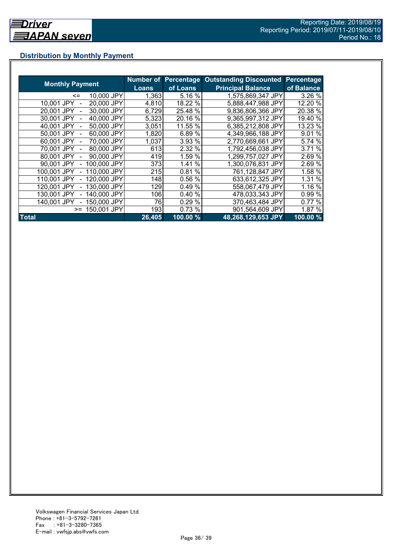## **Distribution by Monthly Payment**

|                            | Number of | <b>Percentage</b> | <b>Outstanding Discounted</b> | Percentage          |
|----------------------------|-----------|-------------------|-------------------------------|---------------------|
| <b>Monthly Payment</b>     | Loans     | of Loans          | <b>Principal Balance</b>      | of Balance          |
| 10,000 JPY<br>$\leq$       | 1,363     | 5.16 %            | 1,575,869,347 JPY             | 3.26 %              |
| 20,000 JPY<br>10,001 JPY   | 4,810     | 18.22 %           | 5,888,447,988 JPY             | 12.20 %             |
| 30,000 JPY<br>20,001 JPY   | 6,729     | 25.48 %           | 9,836,806,366 JPY             | 20.38 %             |
| 40,000 JPY<br>30.001 JPY   | 5,323     | 20.16 %           | 9,365,997,312 JPY             | 19.40 %             |
| 50,000 JPY<br>40.001 JPY   | 3,051     | 11.55 %           | 6,385,212,808 JPY             | 13.23 %             |
| 60,000 JPY<br>50.001 JPY   | 1,820     | 6.89%             | 4,349,966,188 JPY             | 9.01 %              |
| 70.000 JPY<br>60.001 JPY   | 1,037     | 3.93 %            | 2,770,669,661 JPY             | 5.74 %              |
| 80,000 JPY<br>70.001 JPY   | 613       | 2.32 %            | 1,792,456,038 JPY             | 3.71 %              |
| 90,000 JPY<br>80,001 JPY   | 419       | 1.59 %            | 1.299,757,027 JPY             | 2.69 %              |
| 100,000 JPY<br>90,001 JPY  | 373       | 1.41 %            | 1,300,076,831 JPY             | 2.69%               |
| 110,000 JPY<br>100,001 JPY | 215       | 0.81%             | 761,128,847 JPY               | 1.58 %              |
| 120,000 JPY<br>110,001 JPY | 148       | 0.56 %            | 633,612,325 JPY               | 1.31 %              |
| 130,000 JPY<br>120.001 JPY | 129       | 0.49%             | 558,067,479 JPY               | 1.16 %              |
| 140,000 JPY<br>130.001 JPY | 106       | 0.40 %            | 478,033,343 JPY               | 0.99 %              |
| 150,000 JPY<br>140.001 JPY | 76        | 0.29%             | 370,463,484 JPY               | 0.77 %              |
| 150,001 JPY<br>$>=$        | 193       | 0.73 %            | 901,564,609 JPY               | 1.87 %              |
| <b>Total</b>               | 26,405    | 100.00 %          | 48,268,129,653 JPY            | $100.00\frac{9}{6}$ |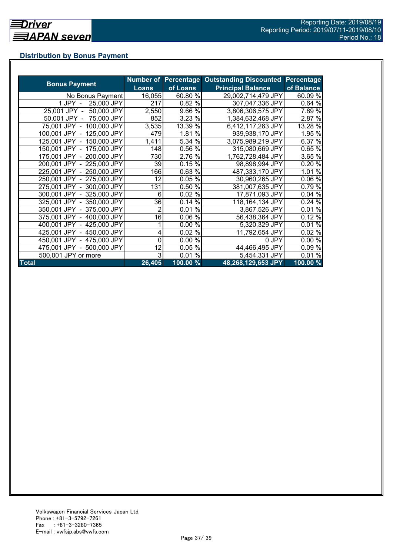## **Distribution by Bonus Payment**

| <b>Bonus Payment</b>       |                |          | Number of Percentage Outstanding Discounted | Percentage |
|----------------------------|----------------|----------|---------------------------------------------|------------|
|                            | <b>Loans</b>   | of Loans | <b>Principal Balance</b>                    | of Balance |
| No Bonus Payment           | 16,055         | 60.80 %  | 29,002,714,479 JPY                          | 60.09 %    |
| 25,000 JPY<br>1 JPY -      | 217            | 0.82 %   | 307,047,336 JPY                             | 0.64%      |
| 50,000 JPY<br>25,001 JPY - | 2,550          | 9.66 %   | 3,806,306,575 JPY                           | 7.89 %     |
| 50,001 JPY - 75,000 JPY    | 852            | 3.23 %   | 1,384,632,468 JPY                           | 2.87 %     |
| 75,001 JPY - 100,000 JPY   | 3,535          | 13.39 %  | 6,412,117,263 JPY                           | 13.28 %    |
| 100,001 JPY - 125,000 JPY  | 479            | 1.81 %   | 939,938,170 JPY                             | 1.95 %     |
| 125,001 JPY - 150,000 JPY  | 1,411          | 5.34 %   | 3,075,989,219 JPY                           | 6.37 %     |
| 150,001 JPY - 175,000 JPY  | 148            | 0.56 %   | 315,080,669 JPY                             | 0.65 %     |
| 175,001 JPY - 200,000 JPY  | 730            | 2.76 %   | 1,762,728,484 JPY                           | 3.65 %     |
| 200,001 JPY - 225,000 JPY  | 39             | 0.15%    | 98,898,994 JPY                              | 0.20 %     |
| 225,001 JPY - 250,000 JPY  | 166            | 0.63%    | 487,333,170 JPY                             | 1.01 %     |
| 250,001 JPY - 275,000 JPY  | 12             | 0.05%    | 30,960,265 JPY                              | 0.06 %     |
| 275,001 JPY - 300,000 JPY  | 131            | 0.50 %   | 381,007,635 JPY                             | 0.79%      |
| 300,001 JPY - 325,000 JPY  | 6              | 0.02 %   | 17,871,093 JPY                              | 0.04%      |
| 325,001 JPY - 350,000 JPY  | 36             | 0.14%    | 118,164,134 JPY                             | 0.24%      |
| 350,001 JPY - 375,000 JPY  | $\overline{2}$ | 0.01%    | 3,867,526 JPY                               | 0.01%      |
| 375,001 JPY - 400,000 JPY  | 16             | 0.06%    | 56,438,364 JPY                              | 0.12%      |
| 400,001 JPY - 425,000 JPY  |                | 0.00 %   | 5,320,329 JPY                               | 0.01%      |
| 425,001 JPY - 450,000 JPY  | 4              | 0.02%    | 11,792,654 JPY                              | 0.02%      |
| 450,001 JPY - 475,000 JPY  | 0              | 0.00 %   | 0 JPY                                       | 0.00%      |
| 475,001 JPY - 500,000 JPY  | 12             | 0.05%    | 44,466,495 JPY                              | 0.09%      |
| 500,001 JPY or more        | 3              | 0.01%    | 5,454,331 JPY                               | 0.01%      |
| <b>Total</b>               | 26,405         | 100.00 % | 48,268,129,653 JPY                          | 100.00 %   |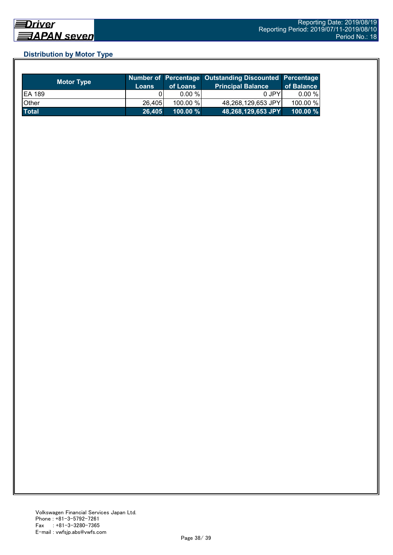## **Distribution by Motor Type**

| <b>Motor Type</b> | Loans  | of Loans    | Number of Percentage Outstanding Discounted Percentage<br><b>Principal Balance</b> | of Balance  |
|-------------------|--------|-------------|------------------------------------------------------------------------------------|-------------|
| <b>EA 189</b>     |        | $0.00 \%$   | 0 JPY                                                                              | $0.00 \%$   |
| Other             | 26,405 | 100.00 %    | 48,268,129,653 JPY                                                                 | 100.00 %    |
| <b>Total</b>      | 26.405 | $100.00 \%$ | 48,268,129,653 JPY                                                                 | $100.00 \%$ |